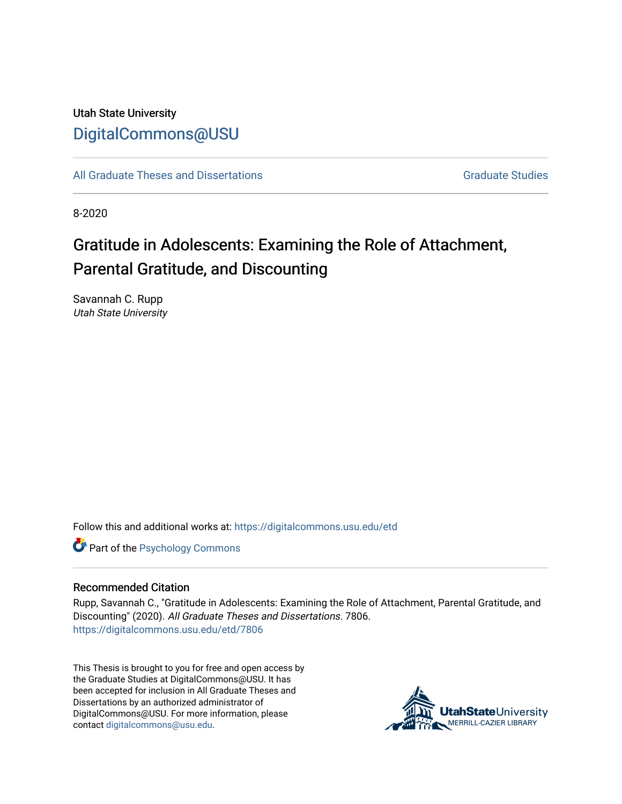# Utah State University [DigitalCommons@USU](https://digitalcommons.usu.edu/)

[All Graduate Theses and Dissertations](https://digitalcommons.usu.edu/etd) Contract Contract Contract Craduate Studies

8-2020

# Gratitude in Adolescents: Examining the Role of Attachment, Parental Gratitude, and Discounting

Savannah C. Rupp Utah State University

Follow this and additional works at: [https://digitalcommons.usu.edu/etd](https://digitalcommons.usu.edu/etd?utm_source=digitalcommons.usu.edu%2Fetd%2F7806&utm_medium=PDF&utm_campaign=PDFCoverPages) 

**Part of the Psychology Commons** 

#### Recommended Citation

Rupp, Savannah C., "Gratitude in Adolescents: Examining the Role of Attachment, Parental Gratitude, and Discounting" (2020). All Graduate Theses and Dissertations. 7806. [https://digitalcommons.usu.edu/etd/7806](https://digitalcommons.usu.edu/etd/7806?utm_source=digitalcommons.usu.edu%2Fetd%2F7806&utm_medium=PDF&utm_campaign=PDFCoverPages)

This Thesis is brought to you for free and open access by the Graduate Studies at DigitalCommons@USU. It has been accepted for inclusion in All Graduate Theses and Dissertations by an authorized administrator of DigitalCommons@USU. For more information, please contact [digitalcommons@usu.edu](mailto:digitalcommons@usu.edu).

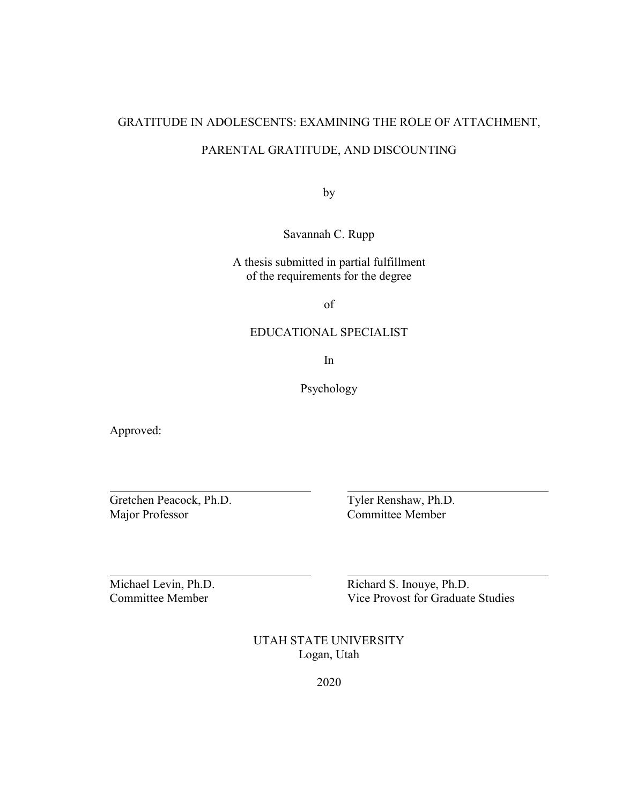# GRATITUDE IN ADOLESCENTS: EXAMINING THE ROLE OF ATTACHMENT,

# PARENTAL GRATITUDE, AND DISCOUNTING

by

Savannah C. Rupp

A thesis submitted in partial fulfillment of the requirements for the degree

of

# EDUCATIONAL SPECIALIST

In

Psychology

Approved:

Gretchen Peacock, Ph.D. Tyler Renshaw, Ph.D. Major Professor Committee Member

Michael Levin, Ph.D. Richard S. Inouye, Ph.D. Committee Member Vice Provost for Graduate Studies

> UTAH STATE UNIVERSITY Logan, Utah

> > 2020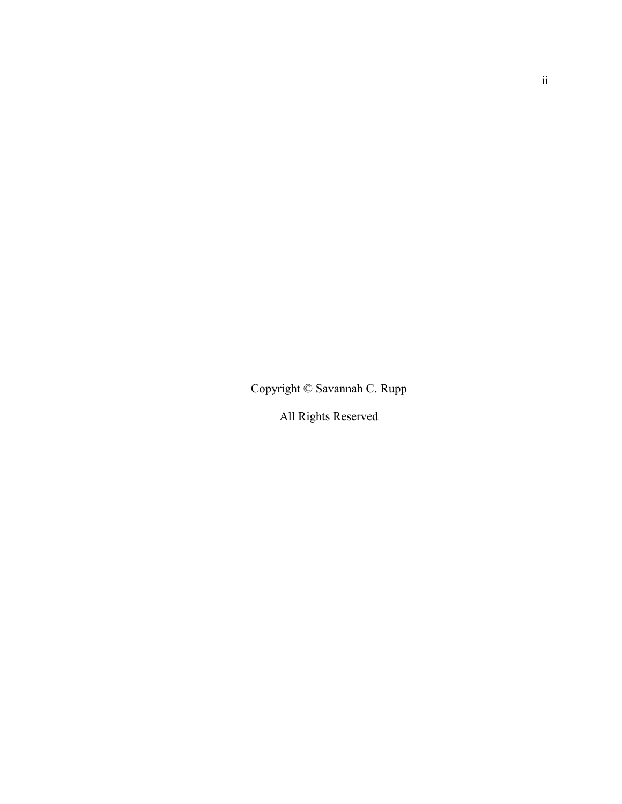Copyright © Savannah C. Rupp

All Rights Reserved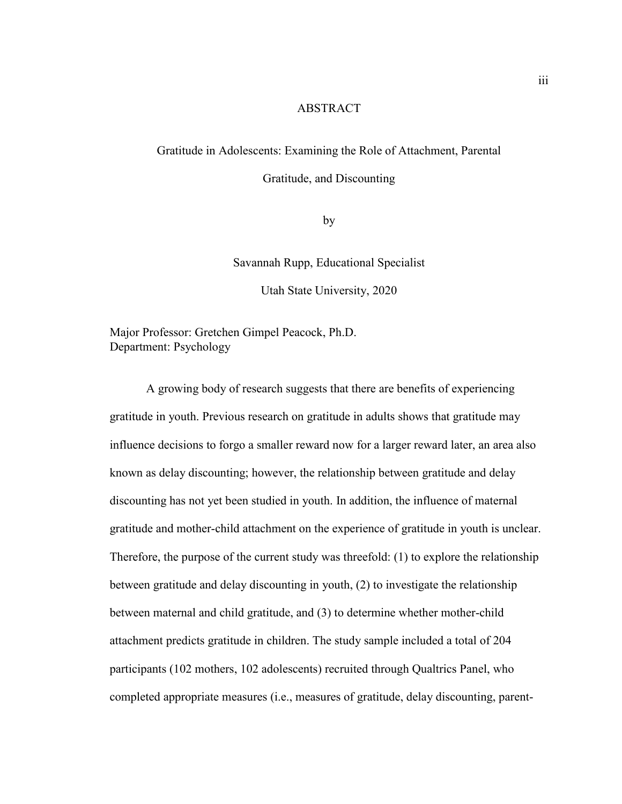#### ABSTRACT

# Gratitude in Adolescents: Examining the Role of Attachment, Parental

Gratitude, and Discounting

by

Savannah Rupp, Educational Specialist

Utah State University, 2020

Major Professor: Gretchen Gimpel Peacock, Ph.D. Department: Psychology

A growing body of research suggests that there are benefits of experiencing gratitude in youth. Previous research on gratitude in adults shows that gratitude may influence decisions to forgo a smaller reward now for a larger reward later, an area also known as delay discounting; however, the relationship between gratitude and delay discounting has not yet been studied in youth. In addition, the influence of maternal gratitude and mother-child attachment on the experience of gratitude in youth is unclear. Therefore, the purpose of the current study was threefold: (1) to explore the relationship between gratitude and delay discounting in youth, (2) to investigate the relationship between maternal and child gratitude, and (3) to determine whether mother-child attachment predicts gratitude in children. The study sample included a total of 204 participants (102 mothers, 102 adolescents) recruited through Qualtrics Panel, who completed appropriate measures (i.e., measures of gratitude, delay discounting, parent-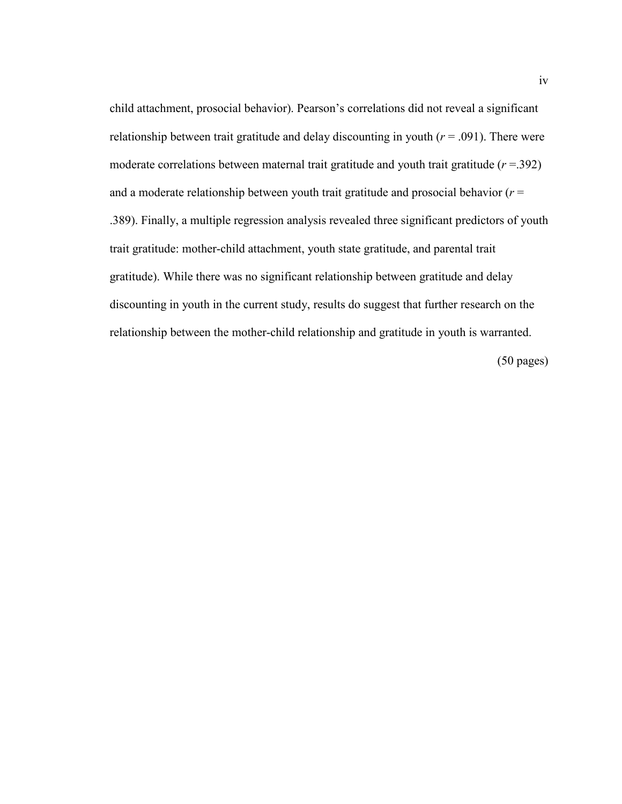child attachment, prosocial behavior). Pearson's correlations did not reveal a significant relationship between trait gratitude and delay discounting in youth  $(r = .091)$ . There were moderate correlations between maternal trait gratitude and youth trait gratitude (*r* =.392) and a moderate relationship between youth trait gratitude and prosocial behavior (*r* = .389). Finally, a multiple regression analysis revealed three significant predictors of youth trait gratitude: mother-child attachment, youth state gratitude, and parental trait gratitude). While there was no significant relationship between gratitude and delay discounting in youth in the current study, results do suggest that further research on the relationship between the mother-child relationship and gratitude in youth is warranted.

(50 pages)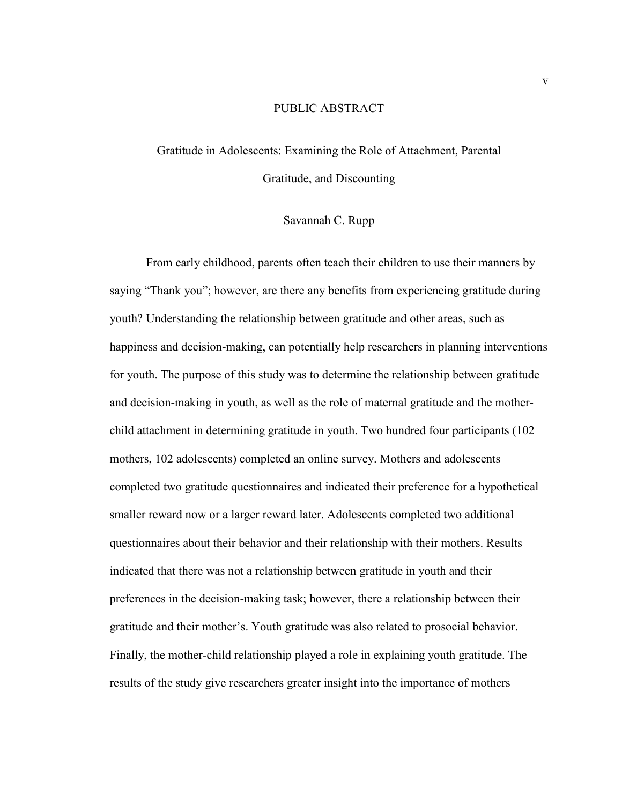#### PUBLIC ABSTRACT

# Gratitude in Adolescents: Examining the Role of Attachment, Parental Gratitude, and Discounting

#### Savannah C. Rupp

From early childhood, parents often teach their children to use their manners by saying "Thank you"; however, are there any benefits from experiencing gratitude during youth? Understanding the relationship between gratitude and other areas, such as happiness and decision-making, can potentially help researchers in planning interventions for youth. The purpose of this study was to determine the relationship between gratitude and decision-making in youth, as well as the role of maternal gratitude and the motherchild attachment in determining gratitude in youth. Two hundred four participants (102 mothers, 102 adolescents) completed an online survey. Mothers and adolescents completed two gratitude questionnaires and indicated their preference for a hypothetical smaller reward now or a larger reward later. Adolescents completed two additional questionnaires about their behavior and their relationship with their mothers. Results indicated that there was not a relationship between gratitude in youth and their preferences in the decision-making task; however, there a relationship between their gratitude and their mother's. Youth gratitude was also related to prosocial behavior. Finally, the mother-child relationship played a role in explaining youth gratitude. The results of the study give researchers greater insight into the importance of mothers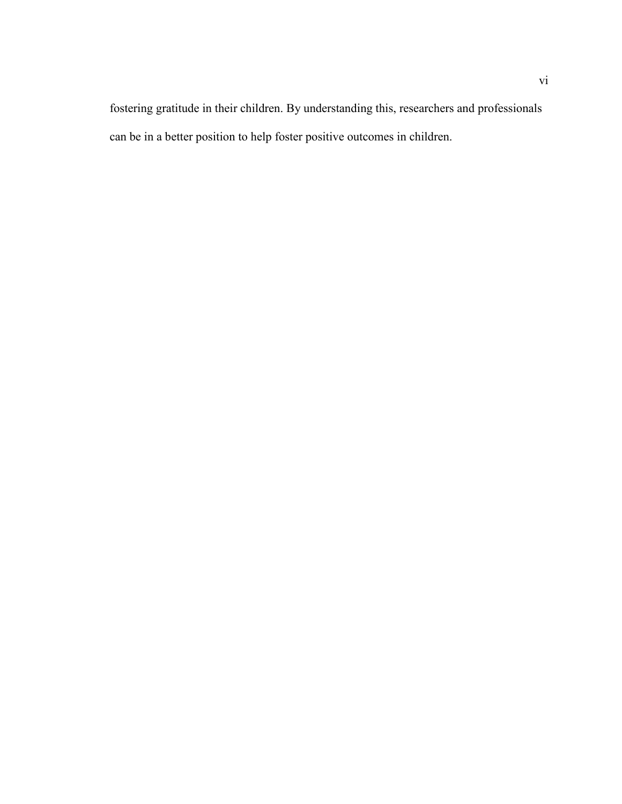fostering gratitude in their children. By understanding this, researchers and professionals can be in a better position to help foster positive outcomes in children.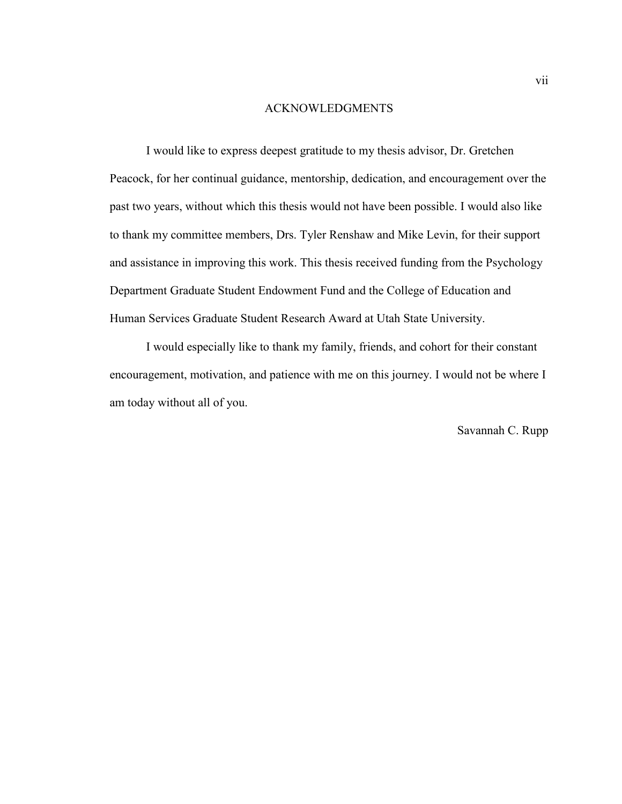#### ACKNOWLEDGMENTS

I would like to express deepest gratitude to my thesis advisor, Dr. Gretchen Peacock, for her continual guidance, mentorship, dedication, and encouragement over the past two years, without which this thesis would not have been possible. I would also like to thank my committee members, Drs. Tyler Renshaw and Mike Levin, for their support and assistance in improving this work. This thesis received funding from the Psychology Department Graduate Student Endowment Fund and the College of Education and Human Services Graduate Student Research Award at Utah State University.

I would especially like to thank my family, friends, and cohort for their constant encouragement, motivation, and patience with me on this journey. I would not be where I am today without all of you.

Savannah C. Rupp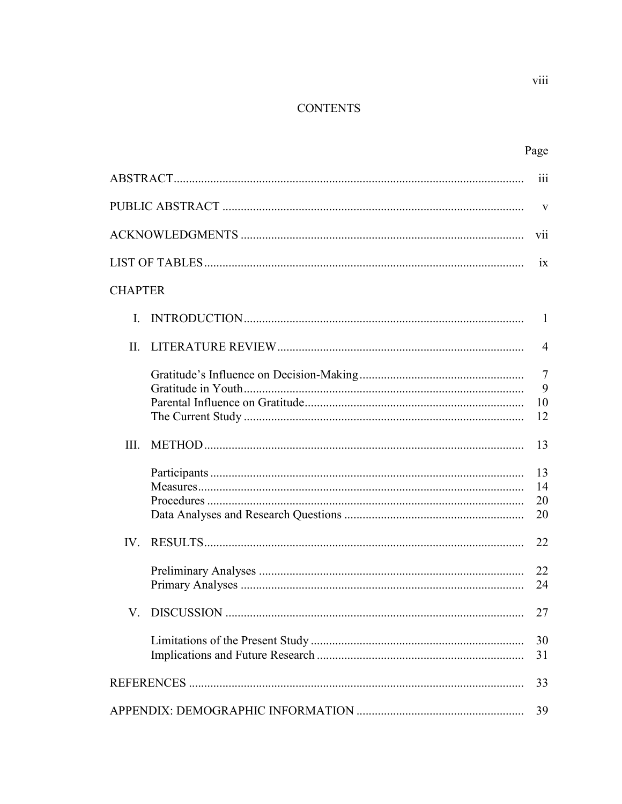# **CONTENTS**

| $\ddot{\mathbf{ii}}$ |  |                                 |  |  |  |
|----------------------|--|---------------------------------|--|--|--|
| V                    |  |                                 |  |  |  |
|                      |  | vii                             |  |  |  |
|                      |  | ix                              |  |  |  |
| <b>CHAPTER</b>       |  |                                 |  |  |  |
| L.                   |  | $\mathbf{1}$                    |  |  |  |
| П.                   |  | $\overline{4}$                  |  |  |  |
|                      |  | $\overline{7}$<br>9<br>10<br>12 |  |  |  |
| III.                 |  | 13                              |  |  |  |
|                      |  | 13<br>14<br>20<br>20            |  |  |  |
|                      |  | 22                              |  |  |  |
|                      |  | 22<br>24                        |  |  |  |
|                      |  | 27                              |  |  |  |
|                      |  | 30<br>31                        |  |  |  |
|                      |  |                                 |  |  |  |
|                      |  |                                 |  |  |  |

viii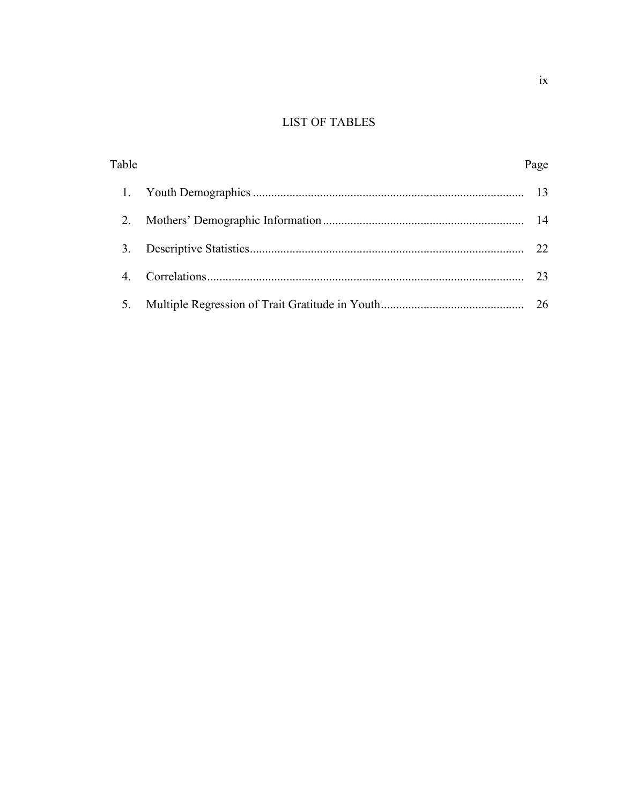# **LIST OF TABLES**

| Table | Page |
|-------|------|
|       |      |
| 2.    |      |
| 3.    | 22   |
|       | 23   |
| 5.    |      |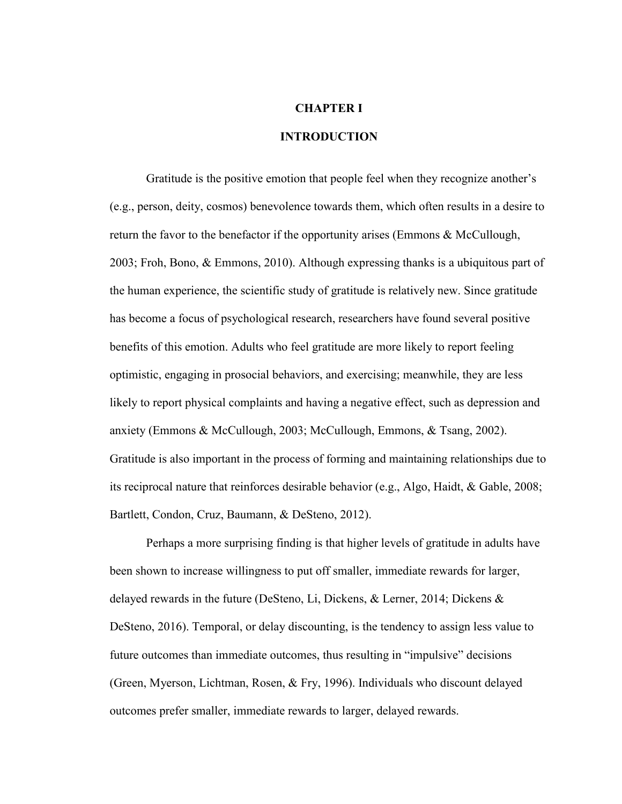#### **CHAPTER I**

#### **INTRODUCTION**

Gratitude is the positive emotion that people feel when they recognize another's (e.g., person, deity, cosmos) benevolence towards them, which often results in a desire to return the favor to the benefactor if the opportunity arises (Emmons & McCullough, 2003; Froh, Bono, & Emmons, 2010). Although expressing thanks is a ubiquitous part of the human experience, the scientific study of gratitude is relatively new. Since gratitude has become a focus of psychological research, researchers have found several positive benefits of this emotion. Adults who feel gratitude are more likely to report feeling optimistic, engaging in prosocial behaviors, and exercising; meanwhile, they are less likely to report physical complaints and having a negative effect, such as depression and anxiety (Emmons & McCullough, 2003; McCullough, Emmons, & Tsang, 2002). Gratitude is also important in the process of forming and maintaining relationships due to its reciprocal nature that reinforces desirable behavior (e.g., Algo, Haidt, & Gable, 2008; Bartlett, Condon, Cruz, Baumann, & DeSteno, 2012).

Perhaps a more surprising finding is that higher levels of gratitude in adults have been shown to increase willingness to put off smaller, immediate rewards for larger, delayed rewards in the future (DeSteno, Li, Dickens, & Lerner, 2014; Dickens & DeSteno, 2016). Temporal, or delay discounting, is the tendency to assign less value to future outcomes than immediate outcomes, thus resulting in "impulsive" decisions (Green, Myerson, Lichtman, Rosen, & Fry, 1996). Individuals who discount delayed outcomes prefer smaller, immediate rewards to larger, delayed rewards.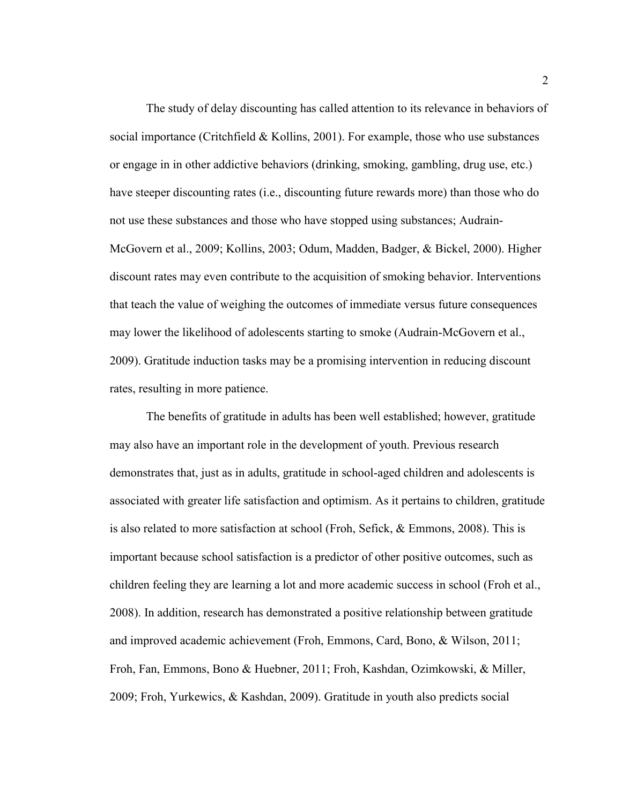The study of delay discounting has called attention to its relevance in behaviors of social importance (Critchfield & Kollins, 2001). For example, those who use substances or engage in in other addictive behaviors (drinking, smoking, gambling, drug use, etc.) have steeper discounting rates (i.e., discounting future rewards more) than those who do not use these substances and those who have stopped using substances; Audrain-McGovern et al., 2009; Kollins, 2003; Odum, Madden, Badger, & Bickel, 2000). Higher discount rates may even contribute to the acquisition of smoking behavior. Interventions that teach the value of weighing the outcomes of immediate versus future consequences may lower the likelihood of adolescents starting to smoke (Audrain-McGovern et al., 2009). Gratitude induction tasks may be a promising intervention in reducing discount rates, resulting in more patience.

The benefits of gratitude in adults has been well established; however, gratitude may also have an important role in the development of youth. Previous research demonstrates that, just as in adults, gratitude in school-aged children and adolescents is associated with greater life satisfaction and optimism. As it pertains to children, gratitude is also related to more satisfaction at school (Froh, Sefick, & Emmons, 2008). This is important because school satisfaction is a predictor of other positive outcomes, such as children feeling they are learning a lot and more academic success in school (Froh et al., 2008). In addition, research has demonstrated a positive relationship between gratitude and improved academic achievement (Froh, Emmons, Card, Bono, & Wilson, 2011; Froh, Fan, Emmons, Bono & Huebner, 2011; Froh, Kashdan, Ozimkowski, & Miller, 2009; Froh, Yurkewics, & Kashdan, 2009). Gratitude in youth also predicts social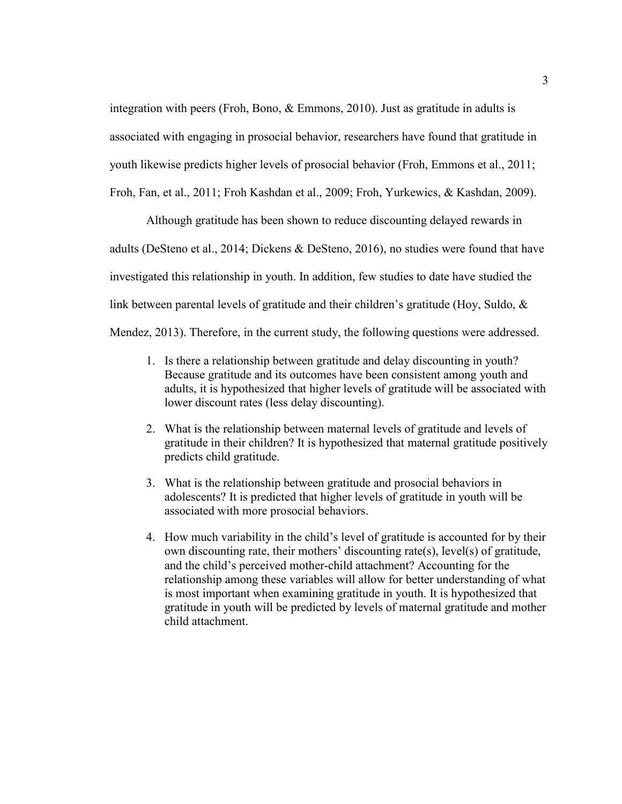integration with peers (Froh, Bono, & Emmons, 2010). Just as gratitude in adults is associated with engaging in prosocial behavior, researchers have found that gratitude in youth likewise predicts higher levels of prosocial behavior (Froh, Emmons et al., 2011; Froh, Fan, et al., 2011; Froh Kashdan et al., 2009; Froh, Yurkewics, & Kashdan, 2009).

Although gratitude has been shown to reduce discounting delayed rewards in adults (DeSteno et al., 2014; Dickens & DeSteno, 2016), no studies were found that have investigated this relationship in youth. In addition, few studies to date have studied the link between parental levels of gratitude and their children's gratitude (Hoy, Suldo, & Mendez, 2013). Therefore, in the current study, the following questions were addressed.

- 1. Is there a relationship between gratitude and delay discounting in youth? Because gratitude and its outcomes have been consistent among youth and adults, it is hypothesized that higher levels of gratitude will be associated with lower discount rates (less delay discounting).
- 2. What is the relationship between maternal levels of gratitude and levels of gratitude in their children? It is hypothesized that maternal gratitude positively predicts child gratitude.
- 3. What is the relationship between gratitude and prosocial behaviors in adolescents? It is predicted that higher levels of gratitude in youth will be associated with more prosocial behaviors.
- 4. How much variability in the child's level of gratitude is accounted for by their own discounting rate, their mothers' discounting rate(s), level(s) of gratitude, and the child's perceived mother-child attachment? Accounting for the relationship among these variables will allow for better understanding of what is most important when examining gratitude in youth. It is hypothesized that gratitude in youth will be predicted by levels of maternal gratitude and mother child attachment.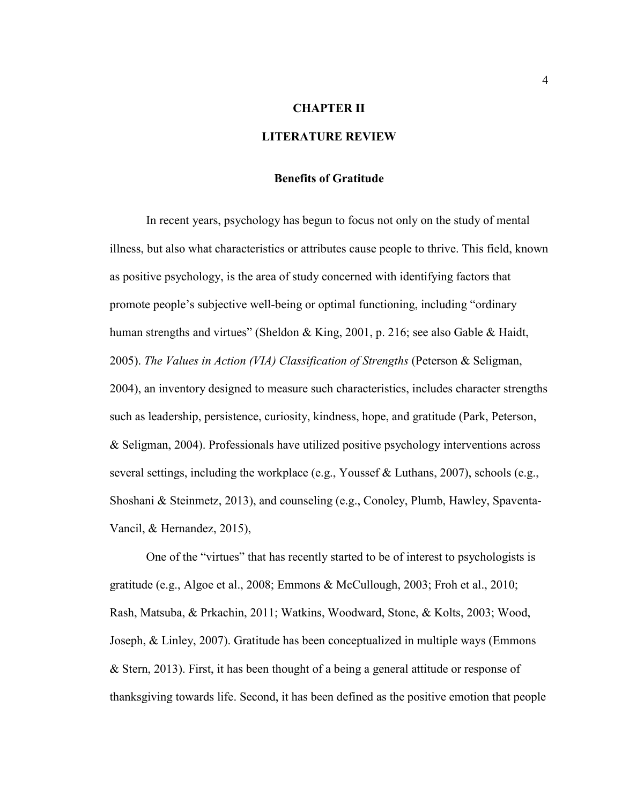#### **CHAPTER II**

#### **LITERATURE REVIEW**

#### **Benefits of Gratitude**

In recent years, psychology has begun to focus not only on the study of mental illness, but also what characteristics or attributes cause people to thrive. This field, known as positive psychology, is the area of study concerned with identifying factors that promote people's subjective well-being or optimal functioning, including "ordinary human strengths and virtues" (Sheldon & King, 2001, p. 216; see also Gable & Haidt, 2005). *The Values in Action (VIA) Classification of Strengths* (Peterson & Seligman, 2004), an inventory designed to measure such characteristics, includes character strengths such as leadership, persistence, curiosity, kindness, hope, and gratitude (Park, Peterson, & Seligman, 2004). Professionals have utilized positive psychology interventions across several settings, including the workplace (e.g., Youssef & Luthans, 2007), schools (e.g., Shoshani & Steinmetz, 2013), and counseling (e.g., Conoley, Plumb, Hawley, Spaventa-Vancil, & Hernandez, 2015),

One of the "virtues" that has recently started to be of interest to psychologists is gratitude (e.g., Algoe et al., 2008; Emmons & McCullough, 2003; Froh et al., 2010; Rash, Matsuba, & Prkachin, 2011; Watkins, Woodward, Stone, & Kolts, 2003; Wood, Joseph, & Linley, 2007). Gratitude has been conceptualized in multiple ways (Emmons & Stern, 2013). First, it has been thought of a being a general attitude or response of thanksgiving towards life. Second, it has been defined as the positive emotion that people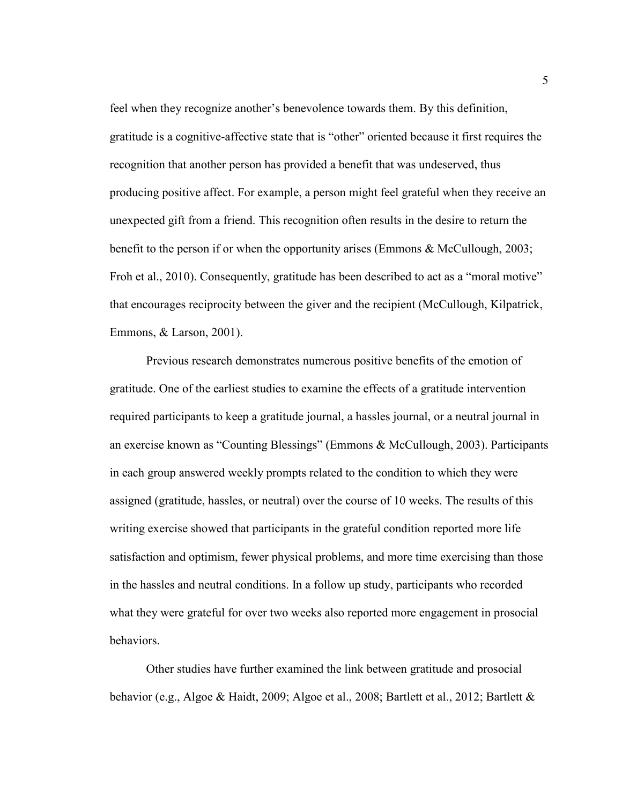feel when they recognize another's benevolence towards them. By this definition, gratitude is a cognitive-affective state that is "other" oriented because it first requires the recognition that another person has provided a benefit that was undeserved, thus producing positive affect. For example, a person might feel grateful when they receive an unexpected gift from a friend. This recognition often results in the desire to return the benefit to the person if or when the opportunity arises (Emmons & McCullough, 2003; Froh et al., 2010). Consequently, gratitude has been described to act as a "moral motive" that encourages reciprocity between the giver and the recipient (McCullough, Kilpatrick, Emmons, & Larson, 2001).

Previous research demonstrates numerous positive benefits of the emotion of gratitude. One of the earliest studies to examine the effects of a gratitude intervention required participants to keep a gratitude journal, a hassles journal, or a neutral journal in an exercise known as "Counting Blessings" (Emmons & McCullough, 2003). Participants in each group answered weekly prompts related to the condition to which they were assigned (gratitude, hassles, or neutral) over the course of 10 weeks. The results of this writing exercise showed that participants in the grateful condition reported more life satisfaction and optimism, fewer physical problems, and more time exercising than those in the hassles and neutral conditions. In a follow up study, participants who recorded what they were grateful for over two weeks also reported more engagement in prosocial behaviors.

Other studies have further examined the link between gratitude and prosocial behavior (e.g., Algoe & Haidt, 2009; Algoe et al., 2008; Bartlett et al., 2012; Bartlett &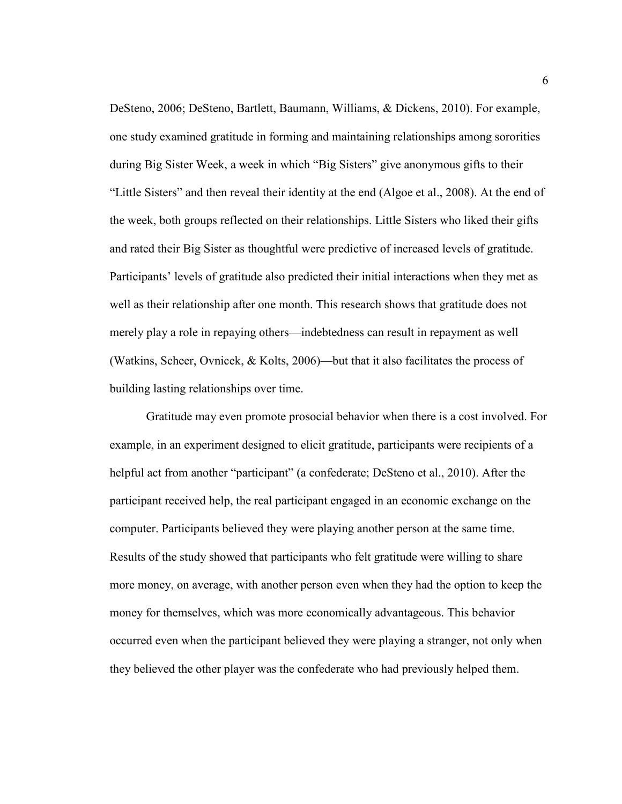DeSteno, 2006; DeSteno, Bartlett, Baumann, Williams, & Dickens, 2010). For example, one study examined gratitude in forming and maintaining relationships among sororities during Big Sister Week, a week in which "Big Sisters" give anonymous gifts to their "Little Sisters" and then reveal their identity at the end (Algoe et al., 2008). At the end of the week, both groups reflected on their relationships. Little Sisters who liked their gifts and rated their Big Sister as thoughtful were predictive of increased levels of gratitude. Participants' levels of gratitude also predicted their initial interactions when they met as well as their relationship after one month. This research shows that gratitude does not merely play a role in repaying others—indebtedness can result in repayment as well (Watkins, Scheer, Ovnicek, & Kolts, 2006)—but that it also facilitates the process of building lasting relationships over time.

Gratitude may even promote prosocial behavior when there is a cost involved. For example, in an experiment designed to elicit gratitude, participants were recipients of a helpful act from another "participant" (a confederate; DeSteno et al., 2010). After the participant received help, the real participant engaged in an economic exchange on the computer. Participants believed they were playing another person at the same time. Results of the study showed that participants who felt gratitude were willing to share more money, on average, with another person even when they had the option to keep the money for themselves, which was more economically advantageous. This behavior occurred even when the participant believed they were playing a stranger, not only when they believed the other player was the confederate who had previously helped them.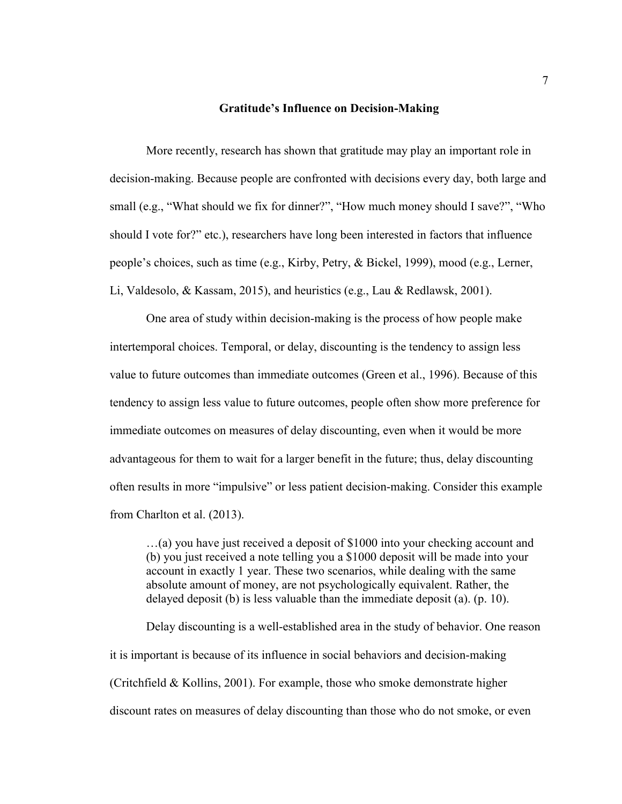#### **Gratitude's Influence on Decision-Making**

More recently, research has shown that gratitude may play an important role in decision-making. Because people are confronted with decisions every day, both large and small (e.g., "What should we fix for dinner?", "How much money should I save?", "Who should I vote for?" etc.), researchers have long been interested in factors that influence people's choices, such as time (e.g., Kirby, Petry, & Bickel, 1999), mood (e.g., Lerner, Li, Valdesolo, & Kassam, 2015), and heuristics (e.g., Lau & Redlawsk, 2001).

One area of study within decision-making is the process of how people make intertemporal choices. Temporal, or delay, discounting is the tendency to assign less value to future outcomes than immediate outcomes (Green et al., 1996). Because of this tendency to assign less value to future outcomes, people often show more preference for immediate outcomes on measures of delay discounting, even when it would be more advantageous for them to wait for a larger benefit in the future; thus, delay discounting often results in more "impulsive" or less patient decision-making. Consider this example from Charlton et al. (2013).

…(a) you have just received a deposit of \$1000 into your checking account and (b) you just received a note telling you a \$1000 deposit will be made into your account in exactly 1 year. These two scenarios, while dealing with the same absolute amount of money, are not psychologically equivalent. Rather, the delayed deposit (b) is less valuable than the immediate deposit (a). (p. 10).

Delay discounting is a well-established area in the study of behavior. One reason it is important is because of its influence in social behaviors and decision-making (Critchfield & Kollins, 2001). For example, those who smoke demonstrate higher discount rates on measures of delay discounting than those who do not smoke, or even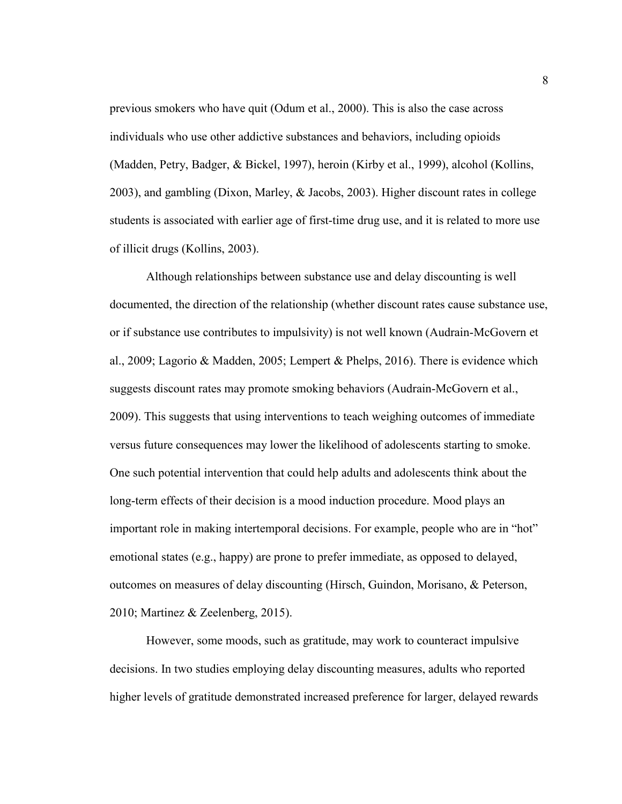previous smokers who have quit (Odum et al., 2000). This is also the case across individuals who use other addictive substances and behaviors, including opioids (Madden, Petry, Badger, & Bickel, 1997), heroin (Kirby et al., 1999), alcohol (Kollins, 2003), and gambling (Dixon, Marley, & Jacobs, 2003). Higher discount rates in college students is associated with earlier age of first-time drug use, and it is related to more use of illicit drugs (Kollins, 2003).

Although relationships between substance use and delay discounting is well documented, the direction of the relationship (whether discount rates cause substance use, or if substance use contributes to impulsivity) is not well known (Audrain-McGovern et al., 2009; Lagorio & Madden, 2005; Lempert & Phelps, 2016). There is evidence which suggests discount rates may promote smoking behaviors (Audrain-McGovern et al., 2009). This suggests that using interventions to teach weighing outcomes of immediate versus future consequences may lower the likelihood of adolescents starting to smoke. One such potential intervention that could help adults and adolescents think about the long-term effects of their decision is a mood induction procedure. Mood plays an important role in making intertemporal decisions. For example, people who are in "hot" emotional states (e.g., happy) are prone to prefer immediate, as opposed to delayed, outcomes on measures of delay discounting (Hirsch, Guindon, Morisano, & Peterson, 2010; Martinez & Zeelenberg, 2015).

However, some moods, such as gratitude, may work to counteract impulsive decisions. In two studies employing delay discounting measures, adults who reported higher levels of gratitude demonstrated increased preference for larger, delayed rewards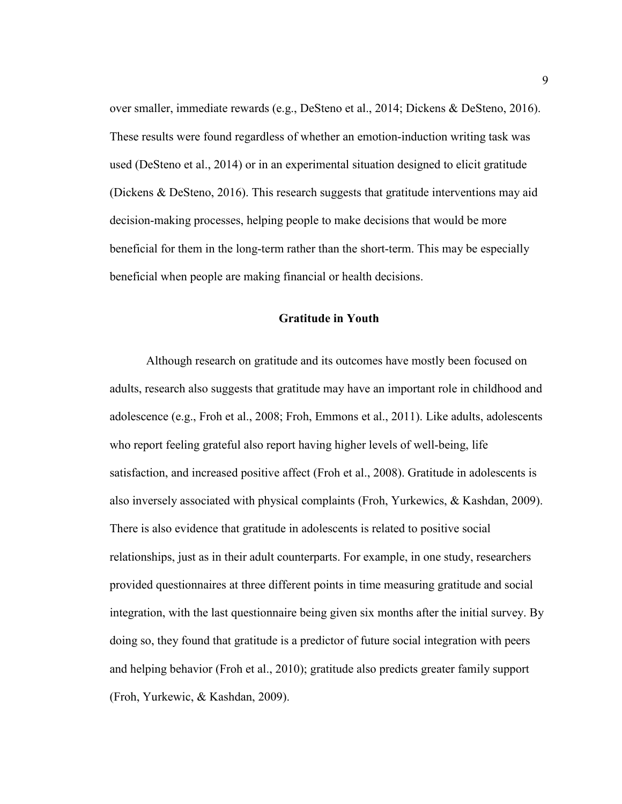over smaller, immediate rewards (e.g., DeSteno et al., 2014; Dickens & DeSteno, 2016). These results were found regardless of whether an emotion-induction writing task was used (DeSteno et al., 2014) or in an experimental situation designed to elicit gratitude (Dickens & DeSteno, 2016). This research suggests that gratitude interventions may aid decision-making processes, helping people to make decisions that would be more beneficial for them in the long-term rather than the short-term. This may be especially beneficial when people are making financial or health decisions.

#### **Gratitude in Youth**

Although research on gratitude and its outcomes have mostly been focused on adults, research also suggests that gratitude may have an important role in childhood and adolescence (e.g., Froh et al., 2008; Froh, Emmons et al., 2011). Like adults, adolescents who report feeling grateful also report having higher levels of well-being, life satisfaction, and increased positive affect (Froh et al., 2008). Gratitude in adolescents is also inversely associated with physical complaints (Froh, Yurkewics, & Kashdan, 2009). There is also evidence that gratitude in adolescents is related to positive social relationships, just as in their adult counterparts. For example, in one study, researchers provided questionnaires at three different points in time measuring gratitude and social integration, with the last questionnaire being given six months after the initial survey. By doing so, they found that gratitude is a predictor of future social integration with peers and helping behavior (Froh et al., 2010); gratitude also predicts greater family support (Froh, Yurkewic, & Kashdan, 2009).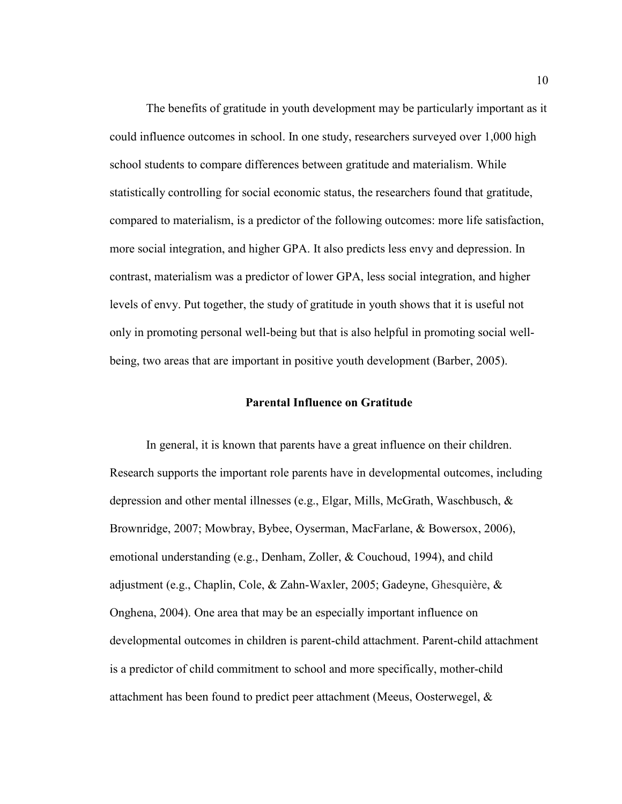The benefits of gratitude in youth development may be particularly important as it could influence outcomes in school. In one study, researchers surveyed over 1,000 high school students to compare differences between gratitude and materialism. While statistically controlling for social economic status, the researchers found that gratitude, compared to materialism, is a predictor of the following outcomes: more life satisfaction, more social integration, and higher GPA. It also predicts less envy and depression. In contrast, materialism was a predictor of lower GPA, less social integration, and higher levels of envy. Put together, the study of gratitude in youth shows that it is useful not only in promoting personal well-being but that is also helpful in promoting social wellbeing, two areas that are important in positive youth development (Barber, 2005).

#### **Parental Influence on Gratitude**

In general, it is known that parents have a great influence on their children. Research supports the important role parents have in developmental outcomes, including depression and other mental illnesses (e.g., Elgar, Mills, McGrath, Waschbusch, & Brownridge, 2007; Mowbray, Bybee, Oyserman, MacFarlane, & Bowersox, 2006), emotional understanding (e.g., Denham, Zoller, & Couchoud, 1994), and child adjustment (e.g., Chaplin, Cole, & Zahn-Waxler, 2005; Gadeyne, Ghesquière, & Onghena, 2004). One area that may be an especially important influence on developmental outcomes in children is parent-child attachment. Parent-child attachment is a predictor of child commitment to school and more specifically, mother-child attachment has been found to predict peer attachment (Meeus, Oosterwegel, &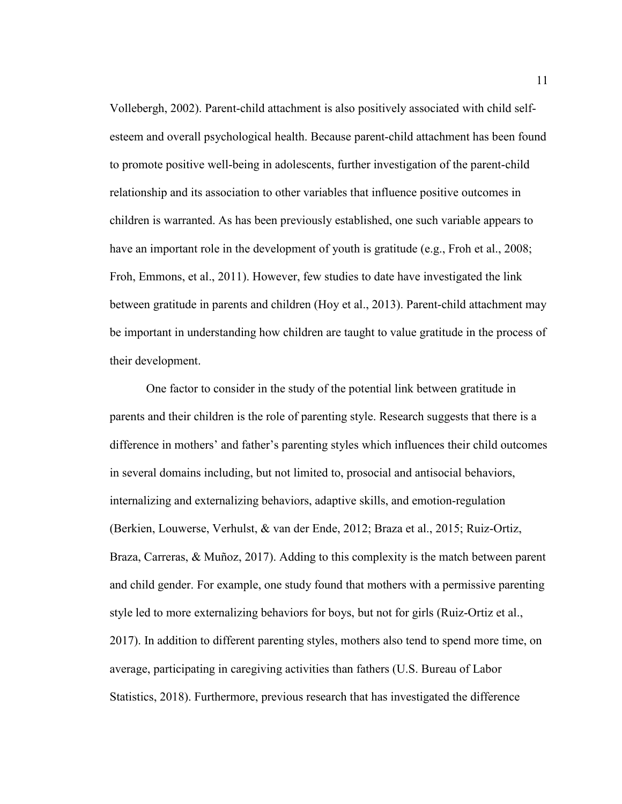Vollebergh, 2002). Parent-child attachment is also positively associated with child selfesteem and overall psychological health. Because parent-child attachment has been found to promote positive well-being in adolescents, further investigation of the parent-child relationship and its association to other variables that influence positive outcomes in children is warranted. As has been previously established, one such variable appears to have an important role in the development of youth is gratitude (e.g., Froh et al., 2008; Froh, Emmons, et al., 2011). However, few studies to date have investigated the link between gratitude in parents and children (Hoy et al., 2013). Parent-child attachment may be important in understanding how children are taught to value gratitude in the process of their development.

One factor to consider in the study of the potential link between gratitude in parents and their children is the role of parenting style. Research suggests that there is a difference in mothers' and father's parenting styles which influences their child outcomes in several domains including, but not limited to, prosocial and antisocial behaviors, internalizing and externalizing behaviors, adaptive skills, and emotion-regulation (Berkien, Louwerse, Verhulst, & van der Ende, 2012; Braza et al., 2015; Ruiz-Ortiz, Braza, Carreras, & Muñoz, 2017). Adding to this complexity is the match between parent and child gender. For example, one study found that mothers with a permissive parenting style led to more externalizing behaviors for boys, but not for girls (Ruiz-Ortiz et al., 2017). In addition to different parenting styles, mothers also tend to spend more time, on average, participating in caregiving activities than fathers (U.S. Bureau of Labor Statistics, 2018). Furthermore, previous research that has investigated the difference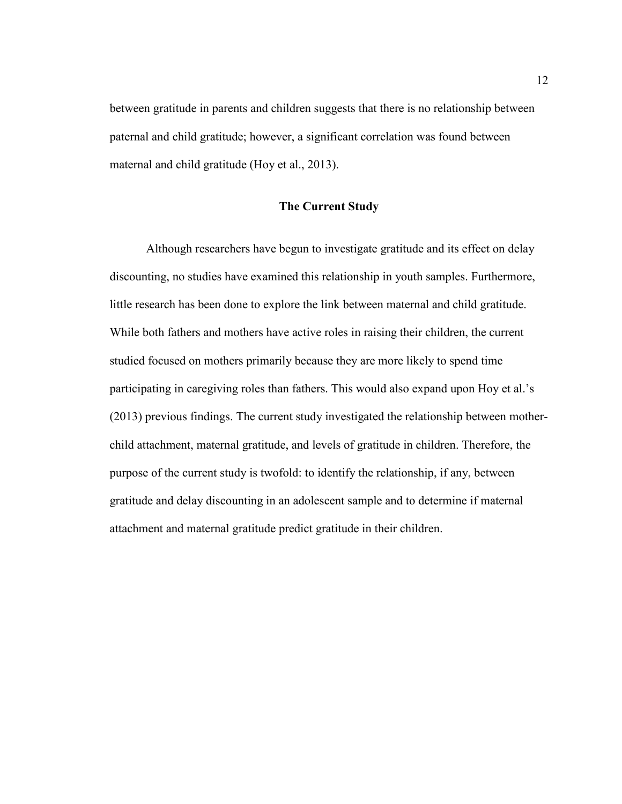between gratitude in parents and children suggests that there is no relationship between paternal and child gratitude; however, a significant correlation was found between maternal and child gratitude (Hoy et al., 2013).

#### **The Current Study**

Although researchers have begun to investigate gratitude and its effect on delay discounting, no studies have examined this relationship in youth samples. Furthermore, little research has been done to explore the link between maternal and child gratitude. While both fathers and mothers have active roles in raising their children, the current studied focused on mothers primarily because they are more likely to spend time participating in caregiving roles than fathers. This would also expand upon Hoy et al.'s (2013) previous findings. The current study investigated the relationship between motherchild attachment, maternal gratitude, and levels of gratitude in children. Therefore, the purpose of the current study is twofold: to identify the relationship, if any, between gratitude and delay discounting in an adolescent sample and to determine if maternal attachment and maternal gratitude predict gratitude in their children.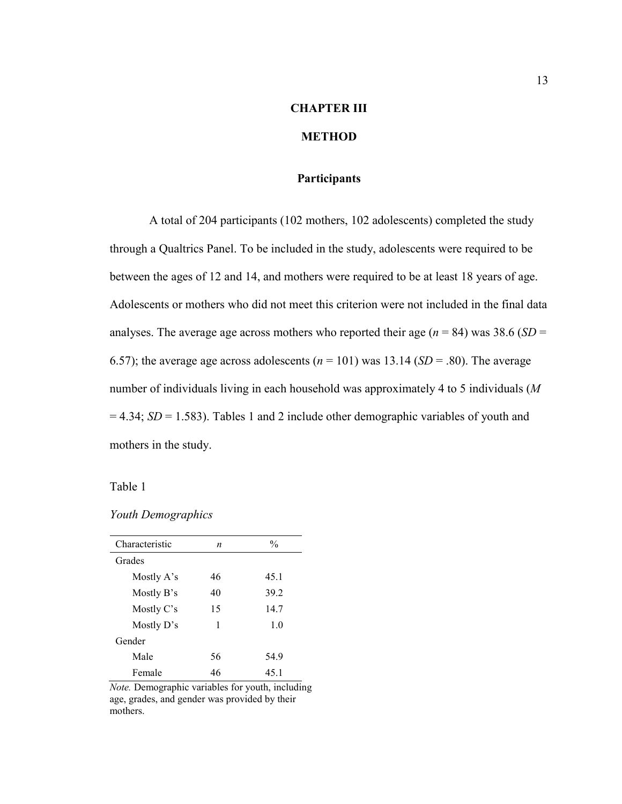# **CHAPTER III**

## **METHOD**

#### **Participants**

A total of 204 participants (102 mothers, 102 adolescents) completed the study through a Qualtrics Panel. To be included in the study, adolescents were required to be between the ages of 12 and 14, and mothers were required to be at least 18 years of age. Adolescents or mothers who did not meet this criterion were not included in the final data analyses. The average age across mothers who reported their age ( $n = 84$ ) was 38.6 (*SD* = 6.57); the average age across adolescents  $(n = 101)$  was 13.14 (*SD* = .80). The average number of individuals living in each household was approximately 4 to 5 individuals (*M*  $= 4.34$ ; *SD* = 1.583). Tables 1 and 2 include other demographic variables of youth and mothers in the study.

Table 1

*Youth Demographics*

| Characteristic | n  | $\frac{0}{0}$ |
|----------------|----|---------------|
| Grades         |    |               |
| Mostly A's     | 46 | 45.1          |
| Mostly B's     | 40 | 39.2          |
| Mostly C's     | 15 | 14.7          |
| Mostly $D$ 's  | 1  | 1.0           |
| Gender         |    |               |
| Male           | 56 | 54.9          |
| Female         | 46 | 45.1          |

*Note.* Demographic variables for youth, including age, grades, and gender was provided by their mothers.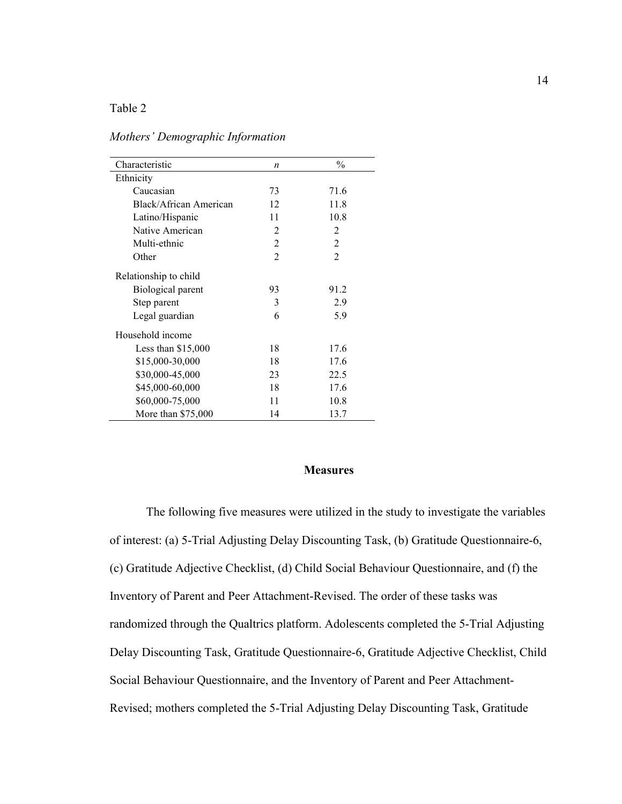#### Table 2

| Characteristic         | $\boldsymbol{n}$            | $\frac{0}{0}$  |
|------------------------|-----------------------------|----------------|
| Ethnicity              |                             |                |
| Caucasian              | 73                          | 71.6           |
| Black/African American | 12                          | 11.8           |
| Latino/Hispanic        | 11                          | 10.8           |
| Native American        | $\mathcal{D}_{\mathcal{L}}$ | $\mathfrak{D}$ |
| Multi-ethnic           | 2                           | 2              |
| Other                  | 2                           | $\mathfrak{D}$ |
| Relationship to child  |                             |                |
| Biological parent      | 93                          | 91.2           |
| Step parent            | 3                           | 2.9            |
| Legal guardian         | 6                           | 5.9            |
| Household income       |                             |                |
| Less than $$15,000$    | 18                          | 17.6           |
| \$15,000-30,000        | 18                          | 17.6           |
| \$30,000-45,000        | 23                          | 22.5           |
| \$45,000-60,000        | 18                          | 17.6           |
| \$60,000-75,000        | 11                          | 10.8           |
| More than $$75,000$    | 14                          | 13.7           |

*Mothers' Demographic Information*

#### **Measures**

The following five measures were utilized in the study to investigate the variables of interest: (a) 5-Trial Adjusting Delay Discounting Task, (b) Gratitude Questionnaire-6, (c) Gratitude Adjective Checklist, (d) Child Social Behaviour Questionnaire, and (f) the Inventory of Parent and Peer Attachment-Revised. The order of these tasks was randomized through the Qualtrics platform. Adolescents completed the 5-Trial Adjusting Delay Discounting Task, Gratitude Questionnaire-6, Gratitude Adjective Checklist, Child Social Behaviour Questionnaire, and the Inventory of Parent and Peer Attachment-Revised; mothers completed the 5-Trial Adjusting Delay Discounting Task, Gratitude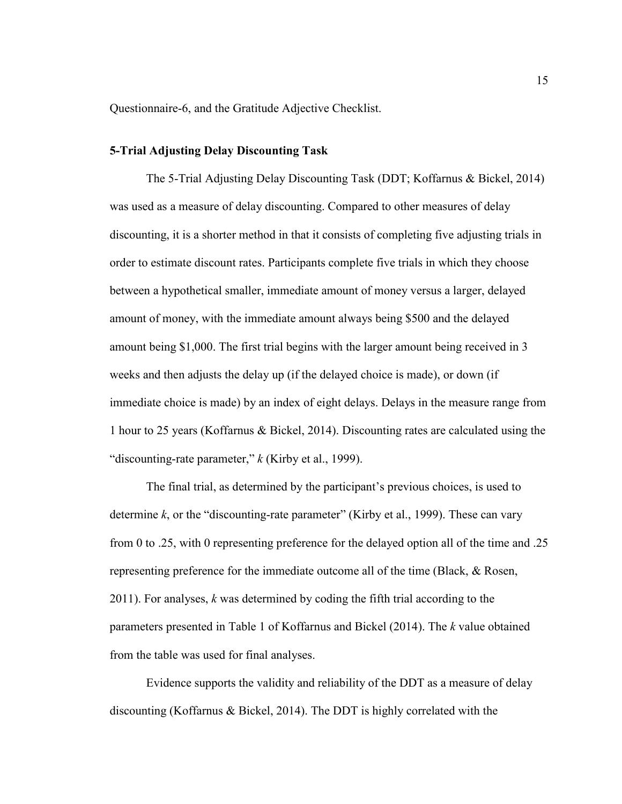Questionnaire-6, and the Gratitude Adjective Checklist.

#### **5-Trial Adjusting Delay Discounting Task**

The 5-Trial Adjusting Delay Discounting Task (DDT; Koffarnus & Bickel, 2014) was used as a measure of delay discounting. Compared to other measures of delay discounting, it is a shorter method in that it consists of completing five adjusting trials in order to estimate discount rates. Participants complete five trials in which they choose between a hypothetical smaller, immediate amount of money versus a larger, delayed amount of money, with the immediate amount always being \$500 and the delayed amount being \$1,000. The first trial begins with the larger amount being received in 3 weeks and then adjusts the delay up (if the delayed choice is made), or down (if immediate choice is made) by an index of eight delays. Delays in the measure range from 1 hour to 25 years (Koffarnus & Bickel, 2014). Discounting rates are calculated using the "discounting-rate parameter," *k* (Kirby et al., 1999).

The final trial, as determined by the participant's previous choices, is used to determine *k*, or the "discounting-rate parameter" (Kirby et al., 1999). These can vary from 0 to .25, with 0 representing preference for the delayed option all of the time and .25 representing preference for the immediate outcome all of the time (Black, & Rosen, 2011). For analyses, *k* was determined by coding the fifth trial according to the parameters presented in Table 1 of Koffarnus and Bickel (2014). The *k* value obtained from the table was used for final analyses.

Evidence supports the validity and reliability of the DDT as a measure of delay discounting (Koffarnus & Bickel, 2014). The DDT is highly correlated with the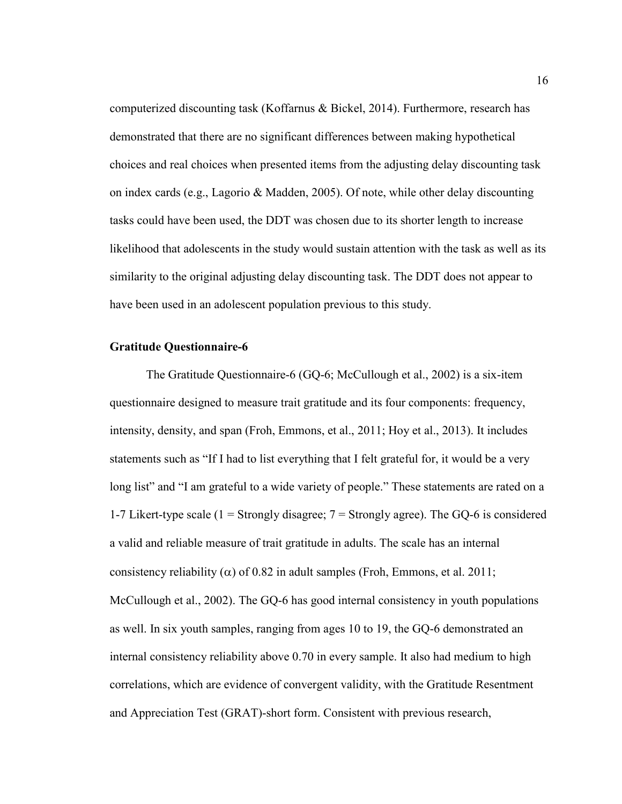computerized discounting task (Koffarnus & Bickel, 2014). Furthermore, research has demonstrated that there are no significant differences between making hypothetical choices and real choices when presented items from the adjusting delay discounting task on index cards (e.g., Lagorio & Madden, 2005). Of note, while other delay discounting tasks could have been used, the DDT was chosen due to its shorter length to increase likelihood that adolescents in the study would sustain attention with the task as well as its similarity to the original adjusting delay discounting task. The DDT does not appear to have been used in an adolescent population previous to this study.

#### **Gratitude Questionnaire-6**

The Gratitude Questionnaire-6 (GQ-6; McCullough et al., 2002) is a six-item questionnaire designed to measure trait gratitude and its four components: frequency, intensity, density, and span (Froh, Emmons, et al., 2011; Hoy et al., 2013). It includes statements such as "If I had to list everything that I felt grateful for, it would be a very long list" and "I am grateful to a wide variety of people." These statements are rated on a 1-7 Likert-type scale (1 = Strongly disagree;  $7 =$  Strongly agree). The GQ-6 is considered a valid and reliable measure of trait gratitude in adults. The scale has an internal consistency reliability ( $\alpha$ ) of 0.82 in adult samples (Froh, Emmons, et al. 2011; McCullough et al., 2002). The GQ-6 has good internal consistency in youth populations as well. In six youth samples, ranging from ages 10 to 19, the GQ-6 demonstrated an internal consistency reliability above 0.70 in every sample. It also had medium to high correlations, which are evidence of convergent validity, with the Gratitude Resentment and Appreciation Test (GRAT)-short form. Consistent with previous research,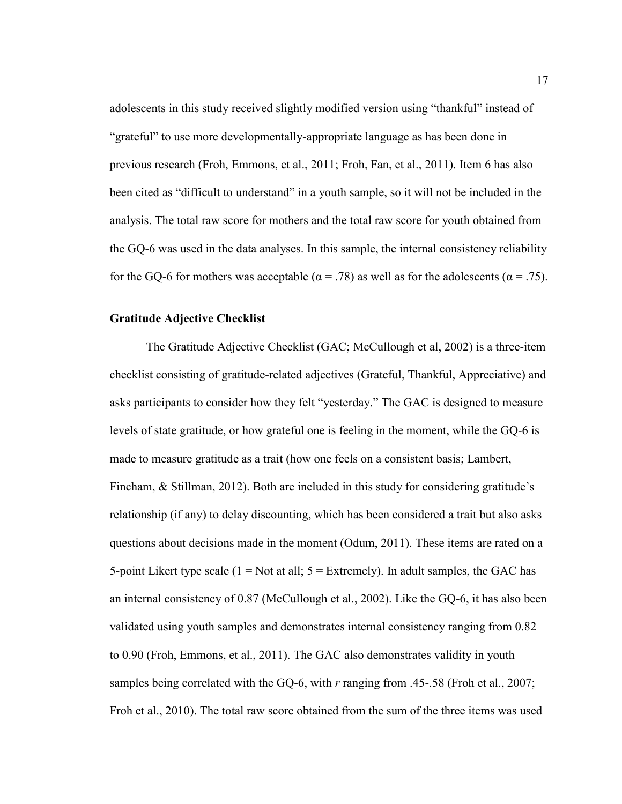adolescents in this study received slightly modified version using "thankful" instead of "grateful" to use more developmentally-appropriate language as has been done in previous research (Froh, Emmons, et al., 2011; Froh, Fan, et al., 2011). Item 6 has also been cited as "difficult to understand" in a youth sample, so it will not be included in the analysis. The total raw score for mothers and the total raw score for youth obtained from the GQ-6 was used in the data analyses. In this sample, the internal consistency reliability for the GQ-6 for mothers was acceptable ( $\alpha = .78$ ) as well as for the adolescents ( $\alpha = .75$ ).

#### **Gratitude Adjective Checklist**

The Gratitude Adjective Checklist (GAC; McCullough et al, 2002) is a three-item checklist consisting of gratitude-related adjectives (Grateful, Thankful, Appreciative) and asks participants to consider how they felt "yesterday." The GAC is designed to measure levels of state gratitude, or how grateful one is feeling in the moment, while the GQ-6 is made to measure gratitude as a trait (how one feels on a consistent basis; Lambert, Fincham, & Stillman, 2012). Both are included in this study for considering gratitude's relationship (if any) to delay discounting, which has been considered a trait but also asks questions about decisions made in the moment (Odum, 2011). These items are rated on a 5-point Likert type scale  $(1 = Not at all; 5 = Extremely)$ . In adult samples, the GAC has an internal consistency of 0.87 (McCullough et al., 2002). Like the GQ-6, it has also been validated using youth samples and demonstrates internal consistency ranging from 0.82 to 0.90 (Froh, Emmons, et al., 2011). The GAC also demonstrates validity in youth samples being correlated with the GQ-6, with *r* ranging from .45-.58 (Froh et al., 2007; Froh et al., 2010). The total raw score obtained from the sum of the three items was used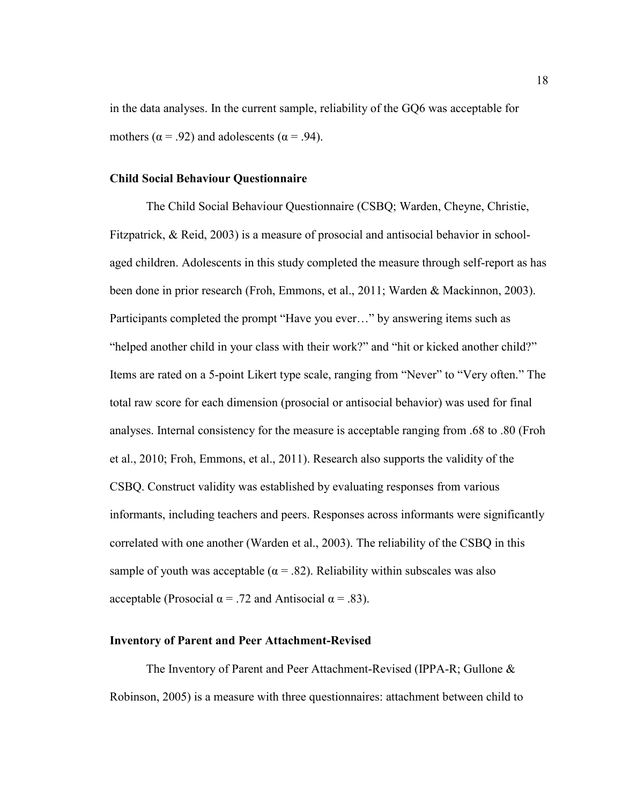in the data analyses. In the current sample, reliability of the GQ6 was acceptable for mothers ( $\alpha$  = .92) and adolescents ( $\alpha$  = .94).

#### **Child Social Behaviour Questionnaire**

The Child Social Behaviour Questionnaire (CSBQ; Warden, Cheyne, Christie, Fitzpatrick, & Reid, 2003) is a measure of prosocial and antisocial behavior in schoolaged children. Adolescents in this study completed the measure through self-report as has been done in prior research (Froh, Emmons, et al., 2011; Warden & Mackinnon, 2003). Participants completed the prompt "Have you ever…" by answering items such as "helped another child in your class with their work?" and "hit or kicked another child?" Items are rated on a 5-point Likert type scale, ranging from "Never" to "Very often." The total raw score for each dimension (prosocial or antisocial behavior) was used for final analyses. Internal consistency for the measure is acceptable ranging from .68 to .80 (Froh et al., 2010; Froh, Emmons, et al., 2011). Research also supports the validity of the CSBQ. Construct validity was established by evaluating responses from various informants, including teachers and peers. Responses across informants were significantly correlated with one another (Warden et al., 2003). The reliability of the CSBQ in this sample of youth was acceptable ( $\alpha = .82$ ). Reliability within subscales was also acceptable (Prosocial  $\alpha$  = .72 and Antisocial  $\alpha$  = .83).

#### **Inventory of Parent and Peer Attachment-Revised**

The Inventory of Parent and Peer Attachment-Revised (IPPA-R; Gullone & Robinson, 2005) is a measure with three questionnaires: attachment between child to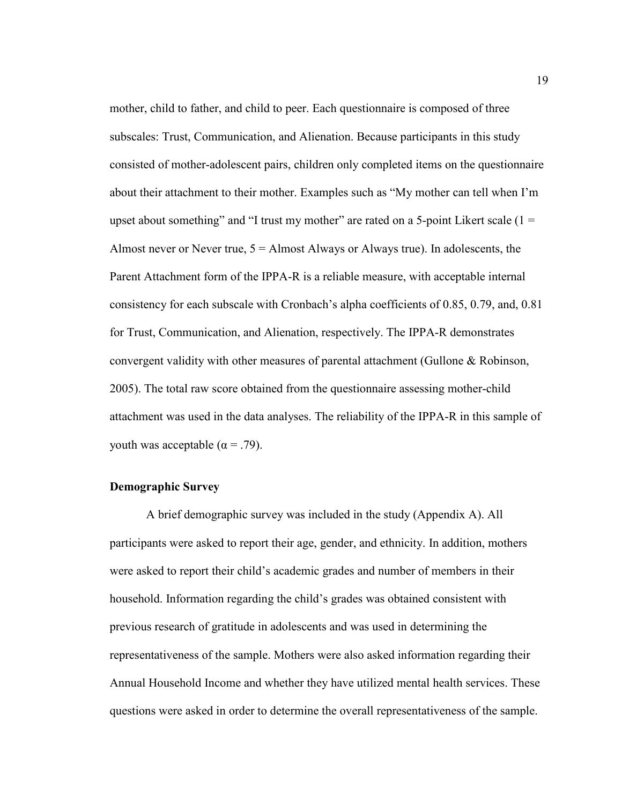mother, child to father, and child to peer. Each questionnaire is composed of three subscales: Trust, Communication, and Alienation. Because participants in this study consisted of mother-adolescent pairs, children only completed items on the questionnaire about their attachment to their mother. Examples such as "My mother can tell when I'm upset about something" and "I trust my mother" are rated on a 5-point Likert scale  $(1 =$ Almost never or Never true,  $5 =$  Almost Always or Always true). In adolescents, the Parent Attachment form of the IPPA-R is a reliable measure, with acceptable internal consistency for each subscale with Cronbach's alpha coefficients of 0.85, 0.79, and, 0.81 for Trust, Communication, and Alienation, respectively. The IPPA-R demonstrates convergent validity with other measures of parental attachment (Gullone & Robinson, 2005). The total raw score obtained from the questionnaire assessing mother-child attachment was used in the data analyses. The reliability of the IPPA-R in this sample of youth was acceptable ( $\alpha = .79$ ).

#### **Demographic Survey**

A brief demographic survey was included in the study (Appendix A). All participants were asked to report their age, gender, and ethnicity. In addition, mothers were asked to report their child's academic grades and number of members in their household. Information regarding the child's grades was obtained consistent with previous research of gratitude in adolescents and was used in determining the representativeness of the sample. Mothers were also asked information regarding their Annual Household Income and whether they have utilized mental health services. These questions were asked in order to determine the overall representativeness of the sample.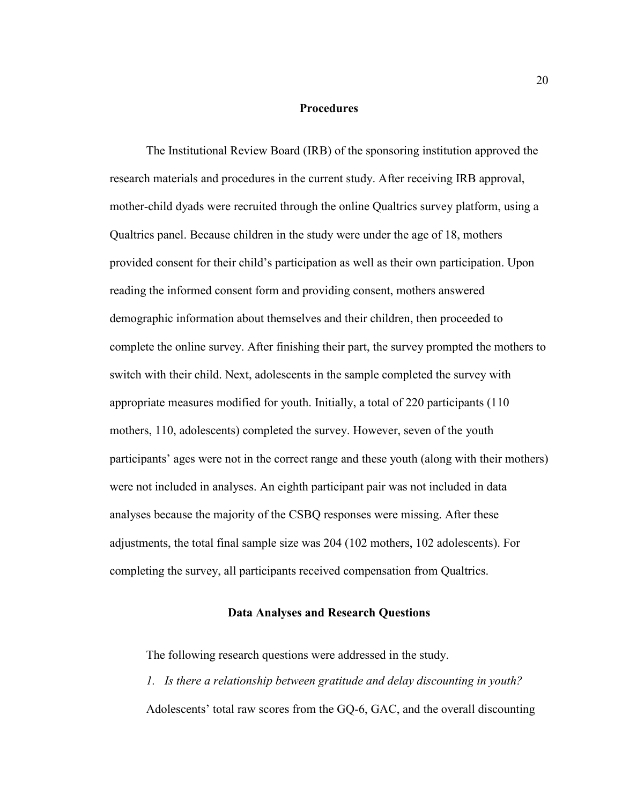#### **Procedures**

The Institutional Review Board (IRB) of the sponsoring institution approved the research materials and procedures in the current study. After receiving IRB approval, mother-child dyads were recruited through the online Qualtrics survey platform, using a Qualtrics panel. Because children in the study were under the age of 18, mothers provided consent for their child's participation as well as their own participation. Upon reading the informed consent form and providing consent, mothers answered demographic information about themselves and their children, then proceeded to complete the online survey. After finishing their part, the survey prompted the mothers to switch with their child. Next, adolescents in the sample completed the survey with appropriate measures modified for youth. Initially, a total of 220 participants (110 mothers, 110, adolescents) completed the survey. However, seven of the youth participants' ages were not in the correct range and these youth (along with their mothers) were not included in analyses. An eighth participant pair was not included in data analyses because the majority of the CSBQ responses were missing. After these adjustments, the total final sample size was 204 (102 mothers, 102 adolescents). For completing the survey, all participants received compensation from Qualtrics.

#### **Data Analyses and Research Questions**

The following research questions were addressed in the study.

*1. Is there a relationship between gratitude and delay discounting in youth?* Adolescents' total raw scores from the GQ-6, GAC, and the overall discounting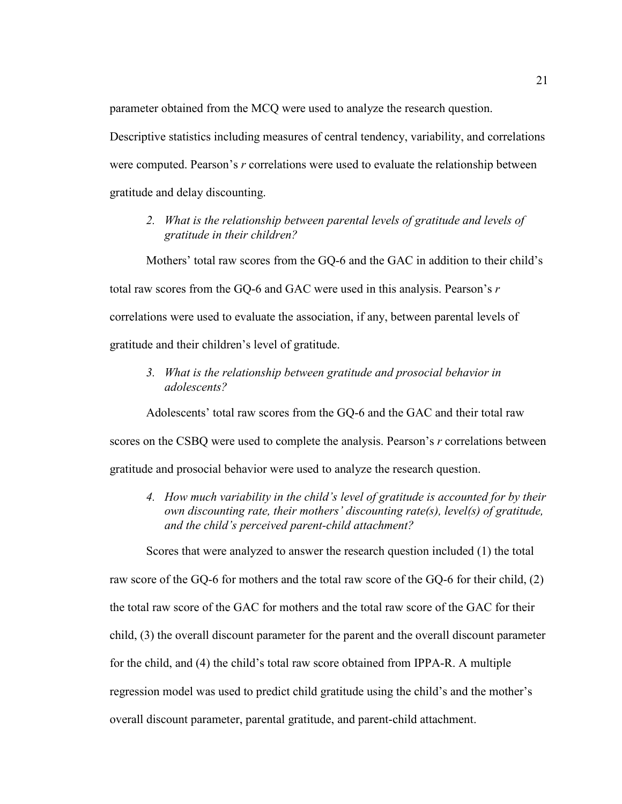parameter obtained from the MCQ were used to analyze the research question.

Descriptive statistics including measures of central tendency, variability, and correlations were computed. Pearson's *r* correlations were used to evaluate the relationship between gratitude and delay discounting.

*2. What is the relationship between parental levels of gratitude and levels of gratitude in their children?*

Mothers' total raw scores from the GQ-6 and the GAC in addition to their child's total raw scores from the GQ-6 and GAC were used in this analysis. Pearson's *r*  correlations were used to evaluate the association, if any, between parental levels of gratitude and their children's level of gratitude.

*3. What is the relationship between gratitude and prosocial behavior in adolescents?*

Adolescents' total raw scores from the GQ-6 and the GAC and their total raw scores on the CSBQ were used to complete the analysis. Pearson's *r* correlations between gratitude and prosocial behavior were used to analyze the research question.

*4. How much variability in the child's level of gratitude is accounted for by their own discounting rate, their mothers' discounting rate(s), level(s) of gratitude, and the child's perceived parent-child attachment?*

Scores that were analyzed to answer the research question included (1) the total

raw score of the GQ-6 for mothers and the total raw score of the GQ-6 for their child, (2) the total raw score of the GAC for mothers and the total raw score of the GAC for their child, (3) the overall discount parameter for the parent and the overall discount parameter for the child, and (4) the child's total raw score obtained from IPPA-R. A multiple regression model was used to predict child gratitude using the child's and the mother's overall discount parameter, parental gratitude, and parent-child attachment.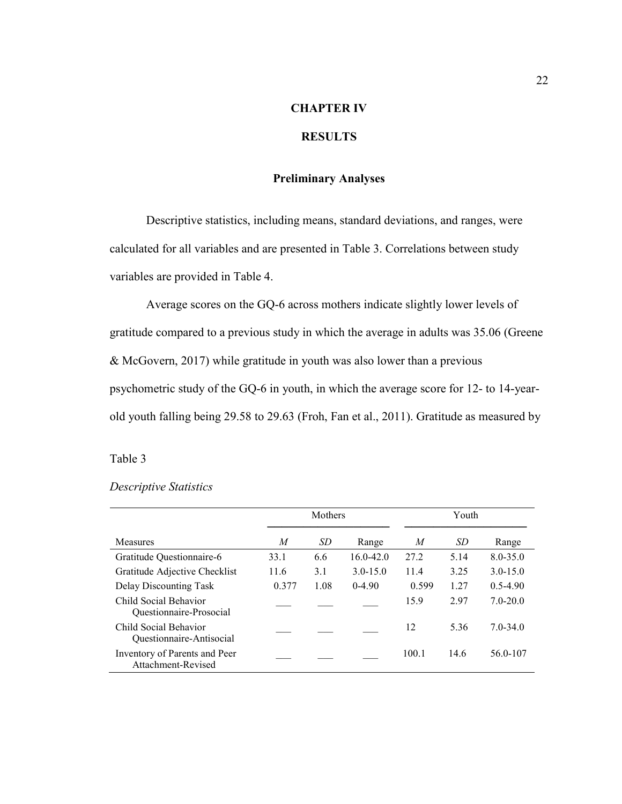## **CHAPTER IV**

## **RESULTS**

#### **Preliminary Analyses**

Descriptive statistics, including means, standard deviations, and ranges, were calculated for all variables and are presented in Table 3. Correlations between study variables are provided in Table 4.

Average scores on the GQ-6 across mothers indicate slightly lower levels of gratitude compared to a previous study in which the average in adults was 35.06 (Greene & McGovern, 2017) while gratitude in youth was also lower than a previous psychometric study of the GQ-6 in youth, in which the average score for 12- to 14-yearold youth falling being 29.58 to 29.63 (Froh, Fan et al., 2011). Gratitude as measured by

#### Table 3

#### *Descriptive Statistics*

|                                                     | Mothers |      |               | Youth |      |              |
|-----------------------------------------------------|---------|------|---------------|-------|------|--------------|
| <b>Measures</b>                                     | M       | SD   | Range         | M     | SD   | Range        |
| Gratitude Questionnaire-6                           | 33.1    | 6.6  | $16.0 - 42.0$ | 27.2  | 5.14 | $8.0 - 35.0$ |
| Gratitude Adjective Checklist                       | 11.6    | 3.1  | $3.0 - 15.0$  | 11.4  | 3.25 | $3.0 - 15.0$ |
| Delay Discounting Task                              | 0.377   | 1.08 | $0-4.90$      | 0.599 | 1.27 | $0.5 - 4.90$ |
| Child Social Behavior<br>Questionnaire-Prosocial    |         |      |               | 15.9  | 2.97 | $7.0 - 20.0$ |
| Child Social Behavior<br>Questionnaire-Antisocial   |         |      |               | 12    | 5.36 | $7.0 - 34.0$ |
| Inventory of Parents and Peer<br>Attachment-Revised |         |      |               | 100.1 | 14.6 | 56.0-107     |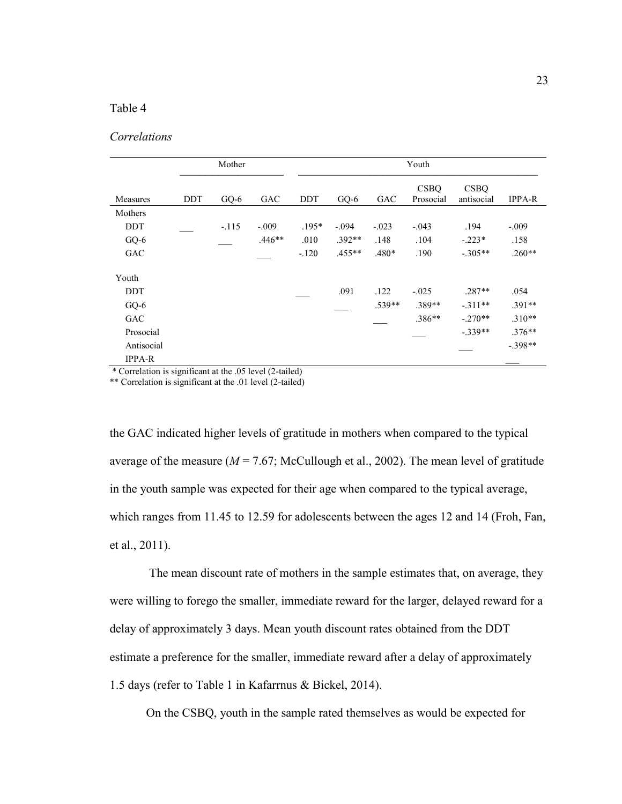#### Table 4

#### *Correlations*

| Mother        |     |         | Youth      |            |           |            |                          |                           |               |
|---------------|-----|---------|------------|------------|-----------|------------|--------------------------|---------------------------|---------------|
| Measures      | DDT | GQ-6    | <b>GAC</b> | <b>DDT</b> | $GQ-6$    | <b>GAC</b> | <b>CSBO</b><br>Prosocial | <b>CSBO</b><br>antisocial | <b>IPPA-R</b> |
| Mothers       |     |         |            |            |           |            |                          |                           |               |
| <b>DDT</b>    |     | $-.115$ | $-.009$    | $.195*$    | $-.094$   | $-.023$    | $-.043$                  | .194                      | $-.009$       |
| GQ-6          |     |         | $.446**$   | .010       | $.392**$  | .148       | .104                     | $-.223*$                  | .158          |
| <b>GAC</b>    |     |         |            | $-.120$    | $.455***$ | $.480*$    | .190                     | $-.305**$                 | $.260**$      |
| Youth         |     |         |            |            |           |            |                          |                           |               |
| <b>DDT</b>    |     |         |            |            | .091      | .122       | $-.025$                  | $.287**$                  | .054          |
| GQ-6          |     |         |            |            |           | $.539**$   | $.389**$                 | $-.311**$                 | $.391**$      |
| GAC           |     |         |            |            |           |            | $.386**$                 | $-.270**$                 | $.310**$      |
| Prosocial     |     |         |            |            |           |            |                          | $-.339**$                 | $.376**$      |
| Antisocial    |     |         |            |            |           |            |                          |                           | $-.398**$     |
| <b>IPPA-R</b> |     |         |            |            |           |            |                          |                           |               |

\* Correlation is significant at the .05 level (2-tailed)

\*\* Correlation is significant at the .01 level (2-tailed)

the GAC indicated higher levels of gratitude in mothers when compared to the typical average of the measure  $(M = 7.67;$  McCullough et al., 2002). The mean level of gratitude in the youth sample was expected for their age when compared to the typical average, which ranges from 11.45 to 12.59 for adolescents between the ages 12 and 14 (Froh, Fan, et al., 2011).

The mean discount rate of mothers in the sample estimates that, on average, they were willing to forego the smaller, immediate reward for the larger, delayed reward for a delay of approximately 3 days. Mean youth discount rates obtained from the DDT estimate a preference for the smaller, immediate reward after a delay of approximately 1.5 days (refer to Table 1 in Kafarrnus & Bickel, 2014).

On the CSBQ, youth in the sample rated themselves as would be expected for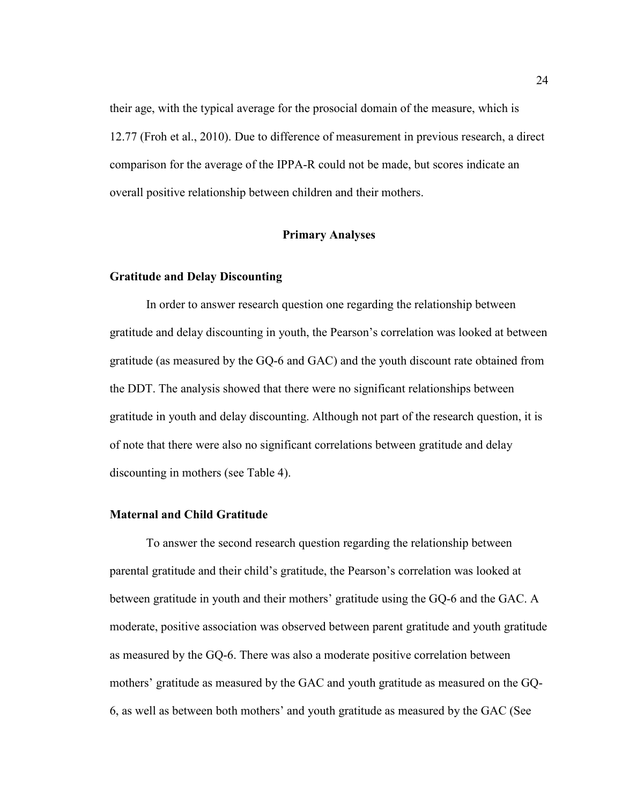their age, with the typical average for the prosocial domain of the measure, which is 12.77 (Froh et al., 2010). Due to difference of measurement in previous research, a direct comparison for the average of the IPPA-R could not be made, but scores indicate an overall positive relationship between children and their mothers.

#### **Primary Analyses**

#### **Gratitude and Delay Discounting**

In order to answer research question one regarding the relationship between gratitude and delay discounting in youth, the Pearson's correlation was looked at between gratitude (as measured by the GQ-6 and GAC) and the youth discount rate obtained from the DDT. The analysis showed that there were no significant relationships between gratitude in youth and delay discounting. Although not part of the research question, it is of note that there were also no significant correlations between gratitude and delay discounting in mothers (see Table 4).

#### **Maternal and Child Gratitude**

To answer the second research question regarding the relationship between parental gratitude and their child's gratitude, the Pearson's correlation was looked at between gratitude in youth and their mothers' gratitude using the GQ-6 and the GAC. A moderate, positive association was observed between parent gratitude and youth gratitude as measured by the GQ-6. There was also a moderate positive correlation between mothers' gratitude as measured by the GAC and youth gratitude as measured on the GQ-6, as well as between both mothers' and youth gratitude as measured by the GAC (See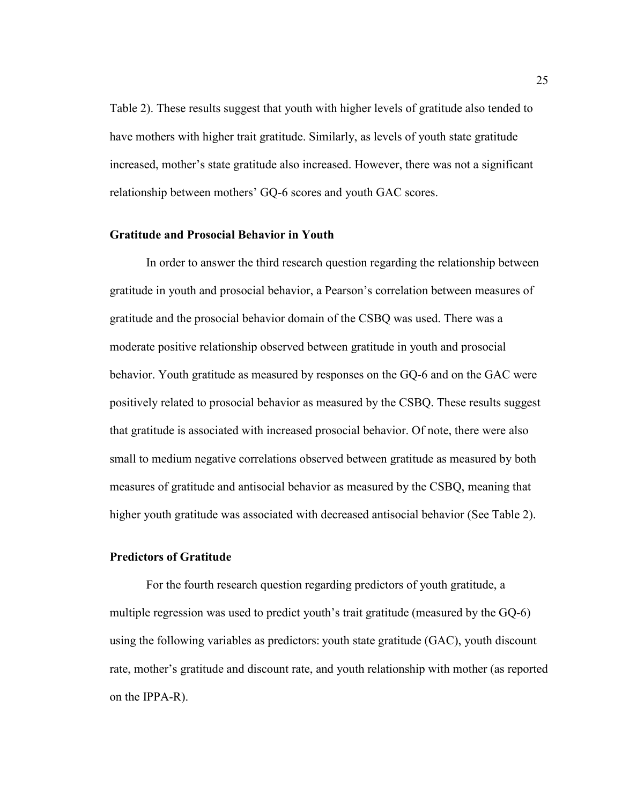Table 2). These results suggest that youth with higher levels of gratitude also tended to have mothers with higher trait gratitude. Similarly, as levels of youth state gratitude increased, mother's state gratitude also increased. However, there was not a significant relationship between mothers' GQ-6 scores and youth GAC scores.

#### **Gratitude and Prosocial Behavior in Youth**

In order to answer the third research question regarding the relationship between gratitude in youth and prosocial behavior, a Pearson's correlation between measures of gratitude and the prosocial behavior domain of the CSBQ was used. There was a moderate positive relationship observed between gratitude in youth and prosocial behavior. Youth gratitude as measured by responses on the GQ-6 and on the GAC were positively related to prosocial behavior as measured by the CSBQ. These results suggest that gratitude is associated with increased prosocial behavior. Of note, there were also small to medium negative correlations observed between gratitude as measured by both measures of gratitude and antisocial behavior as measured by the CSBQ, meaning that higher youth gratitude was associated with decreased antisocial behavior (See Table 2).

#### **Predictors of Gratitude**

For the fourth research question regarding predictors of youth gratitude, a multiple regression was used to predict youth's trait gratitude (measured by the GQ-6) using the following variables as predictors: youth state gratitude (GAC), youth discount rate, mother's gratitude and discount rate, and youth relationship with mother (as reported on the IPPA-R).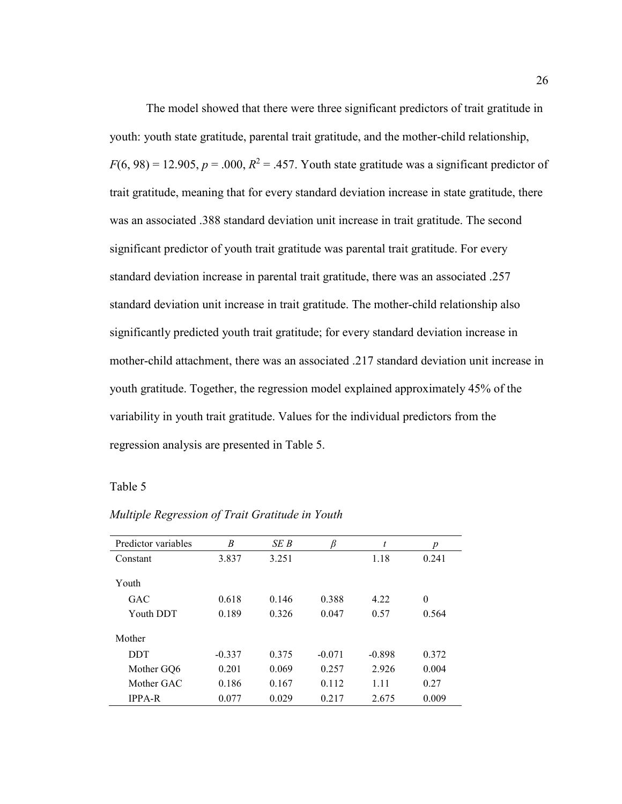The model showed that there were three significant predictors of trait gratitude in youth: youth state gratitude, parental trait gratitude, and the mother-child relationship,  $F(6, 98) = 12.905$ ,  $p = .000$ ,  $R^2 = .457$ . Youth state gratitude was a significant predictor of trait gratitude, meaning that for every standard deviation increase in state gratitude, there was an associated .388 standard deviation unit increase in trait gratitude. The second significant predictor of youth trait gratitude was parental trait gratitude. For every standard deviation increase in parental trait gratitude, there was an associated .257 standard deviation unit increase in trait gratitude. The mother-child relationship also significantly predicted youth trait gratitude; for every standard deviation increase in mother-child attachment, there was an associated .217 standard deviation unit increase in youth gratitude. Together, the regression model explained approximately 45% of the variability in youth trait gratitude. Values for the individual predictors from the regression analysis are presented in Table 5.

#### Table 5

| Predictor variables | B        | SE B  | β        | t        | p        |
|---------------------|----------|-------|----------|----------|----------|
| Constant            | 3.837    | 3.251 |          | 1.18     | 0.241    |
|                     |          |       |          |          |          |
| Youth               |          |       |          |          |          |
| GAC                 | 0.618    | 0.146 | 0.388    | 4.22     | $\theta$ |
| Youth DDT           | 0.189    | 0.326 | 0.047    | 0.57     | 0.564    |
|                     |          |       |          |          |          |
| Mother              |          |       |          |          |          |
| <b>DDT</b>          | $-0.337$ | 0.375 | $-0.071$ | $-0.898$ | 0.372    |
| Mother GO6          | 0.201    | 0.069 | 0.257    | 2.926    | 0.004    |
| Mother GAC          | 0.186    | 0.167 | 0.112    | 1.11     | 0.27     |
| <b>IPPA-R</b>       | 0.077    | 0.029 | 0.217    | 2.675    | 0.009    |

#### *Multiple Regression of Trait Gratitude in Youth*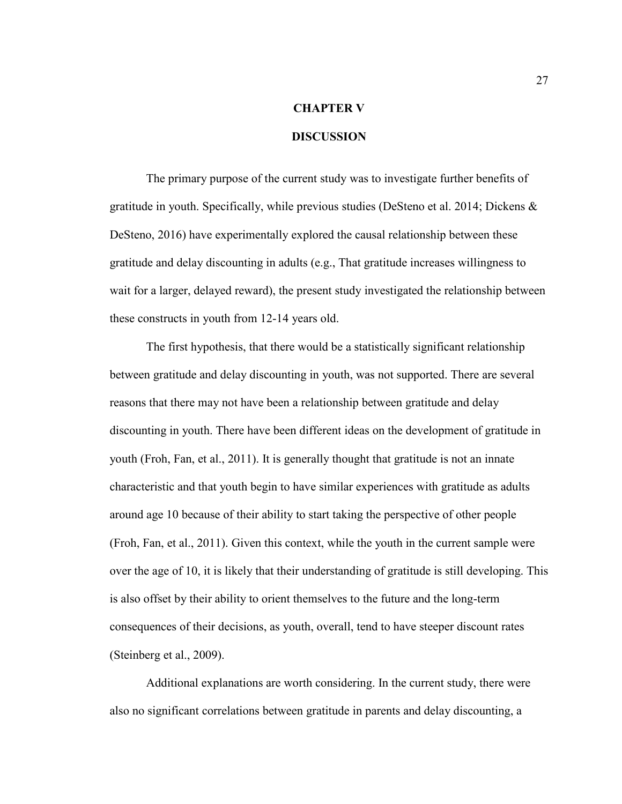# **CHAPTER V**

# **DISCUSSION**

The primary purpose of the current study was to investigate further benefits of gratitude in youth. Specifically, while previous studies (DeSteno et al. 2014; Dickens & DeSteno, 2016) have experimentally explored the causal relationship between these gratitude and delay discounting in adults (e.g., That gratitude increases willingness to wait for a larger, delayed reward), the present study investigated the relationship between these constructs in youth from 12-14 years old.

The first hypothesis, that there would be a statistically significant relationship between gratitude and delay discounting in youth, was not supported. There are several reasons that there may not have been a relationship between gratitude and delay discounting in youth. There have been different ideas on the development of gratitude in youth (Froh, Fan, et al., 2011). It is generally thought that gratitude is not an innate characteristic and that youth begin to have similar experiences with gratitude as adults around age 10 because of their ability to start taking the perspective of other people (Froh, Fan, et al., 2011). Given this context, while the youth in the current sample were over the age of 10, it is likely that their understanding of gratitude is still developing. This is also offset by their ability to orient themselves to the future and the long-term consequences of their decisions, as youth, overall, tend to have steeper discount rates (Steinberg et al., 2009).

Additional explanations are worth considering. In the current study, there were also no significant correlations between gratitude in parents and delay discounting, a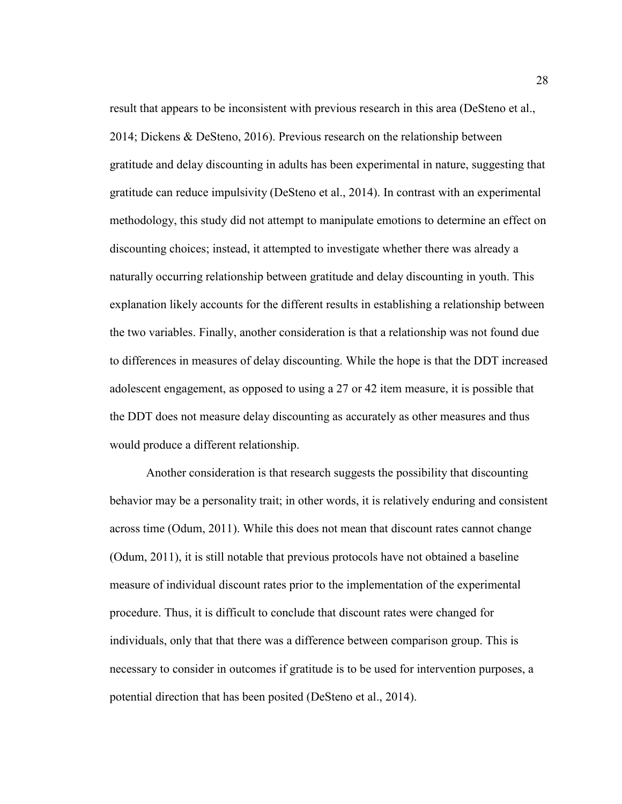result that appears to be inconsistent with previous research in this area (DeSteno et al., 2014; Dickens & DeSteno, 2016). Previous research on the relationship between gratitude and delay discounting in adults has been experimental in nature, suggesting that gratitude can reduce impulsivity (DeSteno et al., 2014). In contrast with an experimental methodology, this study did not attempt to manipulate emotions to determine an effect on discounting choices; instead, it attempted to investigate whether there was already a naturally occurring relationship between gratitude and delay discounting in youth. This explanation likely accounts for the different results in establishing a relationship between the two variables. Finally, another consideration is that a relationship was not found due to differences in measures of delay discounting. While the hope is that the DDT increased adolescent engagement, as opposed to using a 27 or 42 item measure, it is possible that the DDT does not measure delay discounting as accurately as other measures and thus would produce a different relationship.

Another consideration is that research suggests the possibility that discounting behavior may be a personality trait; in other words, it is relatively enduring and consistent across time (Odum, 2011). While this does not mean that discount rates cannot change (Odum, 2011), it is still notable that previous protocols have not obtained a baseline measure of individual discount rates prior to the implementation of the experimental procedure. Thus, it is difficult to conclude that discount rates were changed for individuals, only that that there was a difference between comparison group. This is necessary to consider in outcomes if gratitude is to be used for intervention purposes, a potential direction that has been posited (DeSteno et al., 2014).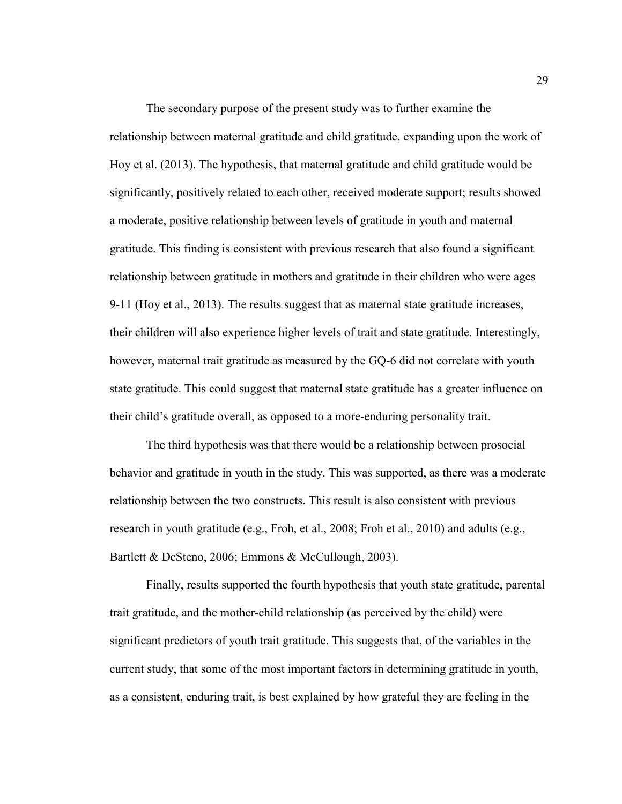The secondary purpose of the present study was to further examine the relationship between maternal gratitude and child gratitude, expanding upon the work of Hoy et al. (2013). The hypothesis, that maternal gratitude and child gratitude would be significantly, positively related to each other, received moderate support; results showed a moderate, positive relationship between levels of gratitude in youth and maternal gratitude. This finding is consistent with previous research that also found a significant relationship between gratitude in mothers and gratitude in their children who were ages 9-11 (Hoy et al., 2013). The results suggest that as maternal state gratitude increases, their children will also experience higher levels of trait and state gratitude. Interestingly, however, maternal trait gratitude as measured by the GQ-6 did not correlate with youth state gratitude. This could suggest that maternal state gratitude has a greater influence on their child's gratitude overall, as opposed to a more-enduring personality trait.

The third hypothesis was that there would be a relationship between prosocial behavior and gratitude in youth in the study. This was supported, as there was a moderate relationship between the two constructs. This result is also consistent with previous research in youth gratitude (e.g., Froh, et al., 2008; Froh et al., 2010) and adults (e.g., Bartlett & DeSteno, 2006; Emmons & McCullough, 2003).

Finally, results supported the fourth hypothesis that youth state gratitude, parental trait gratitude, and the mother-child relationship (as perceived by the child) were significant predictors of youth trait gratitude. This suggests that, of the variables in the current study, that some of the most important factors in determining gratitude in youth, as a consistent, enduring trait, is best explained by how grateful they are feeling in the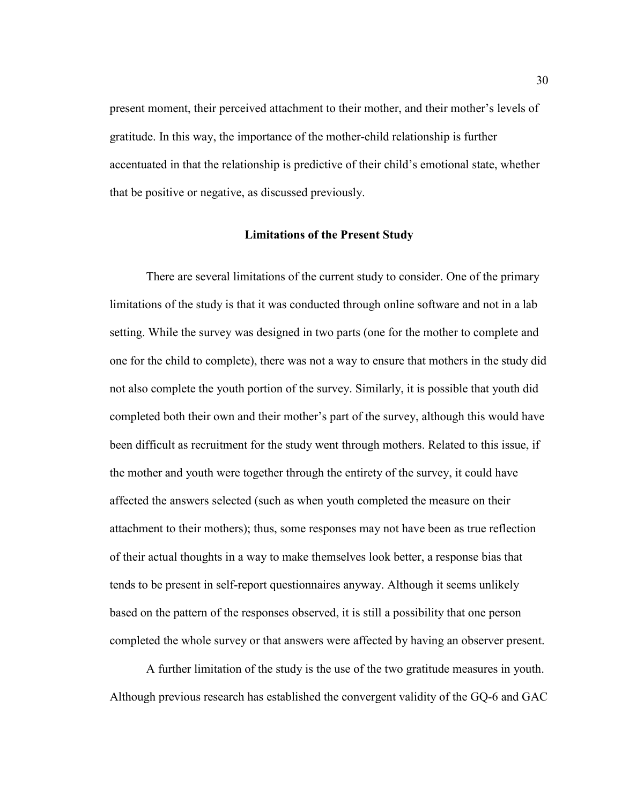present moment, their perceived attachment to their mother, and their mother's levels of gratitude. In this way, the importance of the mother-child relationship is further accentuated in that the relationship is predictive of their child's emotional state, whether that be positive or negative, as discussed previously.

#### **Limitations of the Present Study**

There are several limitations of the current study to consider. One of the primary limitations of the study is that it was conducted through online software and not in a lab setting. While the survey was designed in two parts (one for the mother to complete and one for the child to complete), there was not a way to ensure that mothers in the study did not also complete the youth portion of the survey. Similarly, it is possible that youth did completed both their own and their mother's part of the survey, although this would have been difficult as recruitment for the study went through mothers. Related to this issue, if the mother and youth were together through the entirety of the survey, it could have affected the answers selected (such as when youth completed the measure on their attachment to their mothers); thus, some responses may not have been as true reflection of their actual thoughts in a way to make themselves look better, a response bias that tends to be present in self-report questionnaires anyway. Although it seems unlikely based on the pattern of the responses observed, it is still a possibility that one person completed the whole survey or that answers were affected by having an observer present.

A further limitation of the study is the use of the two gratitude measures in youth. Although previous research has established the convergent validity of the GQ-6 and GAC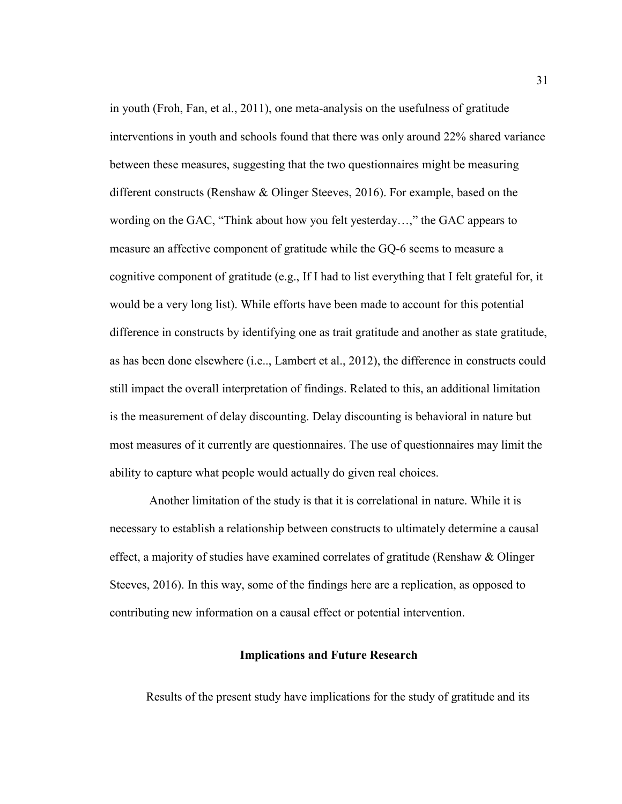in youth (Froh, Fan, et al., 2011), one meta-analysis on the usefulness of gratitude interventions in youth and schools found that there was only around 22% shared variance between these measures, suggesting that the two questionnaires might be measuring different constructs (Renshaw & Olinger Steeves, 2016). For example, based on the wording on the GAC, "Think about how you felt yesterday…," the GAC appears to measure an affective component of gratitude while the GQ-6 seems to measure a cognitive component of gratitude (e.g., If I had to list everything that I felt grateful for, it would be a very long list). While efforts have been made to account for this potential difference in constructs by identifying one as trait gratitude and another as state gratitude, as has been done elsewhere (i.e.., Lambert et al., 2012), the difference in constructs could still impact the overall interpretation of findings. Related to this, an additional limitation is the measurement of delay discounting. Delay discounting is behavioral in nature but most measures of it currently are questionnaires. The use of questionnaires may limit the ability to capture what people would actually do given real choices.

Another limitation of the study is that it is correlational in nature. While it is necessary to establish a relationship between constructs to ultimately determine a causal effect, a majority of studies have examined correlates of gratitude (Renshaw & Olinger Steeves, 2016). In this way, some of the findings here are a replication, as opposed to contributing new information on a causal effect or potential intervention.

#### **Implications and Future Research**

Results of the present study have implications for the study of gratitude and its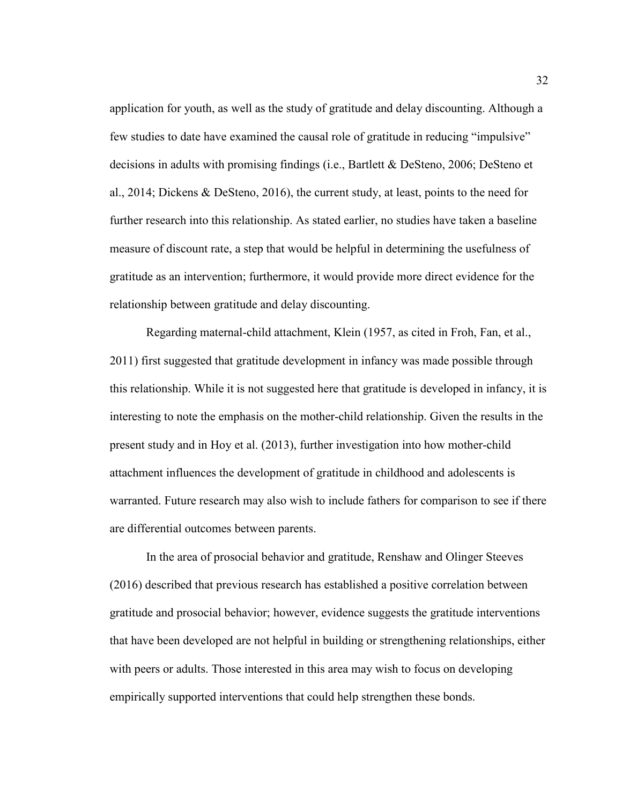application for youth, as well as the study of gratitude and delay discounting. Although a few studies to date have examined the causal role of gratitude in reducing "impulsive" decisions in adults with promising findings (i.e., Bartlett & DeSteno, 2006; DeSteno et al., 2014; Dickens & DeSteno, 2016), the current study, at least, points to the need for further research into this relationship. As stated earlier, no studies have taken a baseline measure of discount rate, a step that would be helpful in determining the usefulness of gratitude as an intervention; furthermore, it would provide more direct evidence for the relationship between gratitude and delay discounting.

Regarding maternal-child attachment, Klein (1957, as cited in Froh, Fan, et al., 2011) first suggested that gratitude development in infancy was made possible through this relationship. While it is not suggested here that gratitude is developed in infancy, it is interesting to note the emphasis on the mother-child relationship. Given the results in the present study and in Hoy et al. (2013), further investigation into how mother-child attachment influences the development of gratitude in childhood and adolescents is warranted. Future research may also wish to include fathers for comparison to see if there are differential outcomes between parents.

In the area of prosocial behavior and gratitude, Renshaw and Olinger Steeves (2016) described that previous research has established a positive correlation between gratitude and prosocial behavior; however, evidence suggests the gratitude interventions that have been developed are not helpful in building or strengthening relationships, either with peers or adults. Those interested in this area may wish to focus on developing empirically supported interventions that could help strengthen these bonds.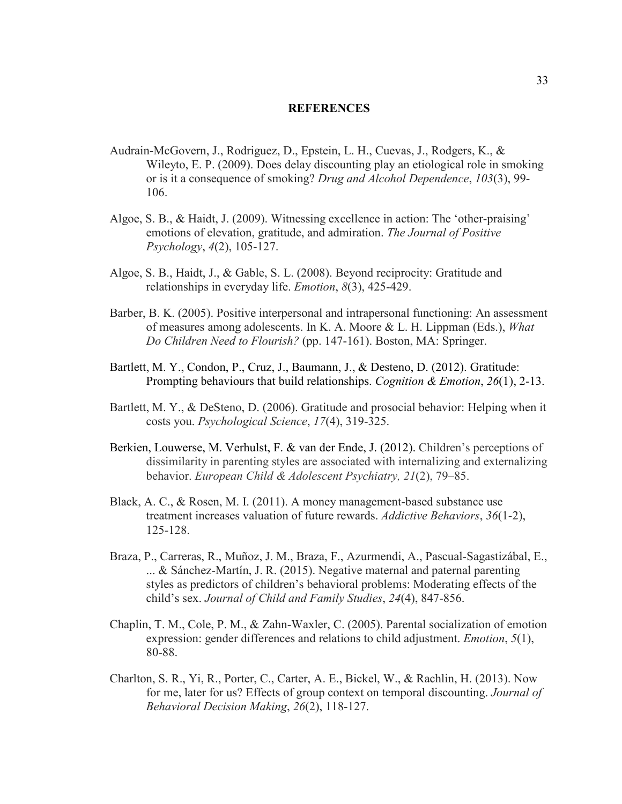#### **REFERENCES**

- Audrain-McGovern, J., Rodriguez, D., Epstein, L. H., Cuevas, J., Rodgers, K., & Wileyto, E. P. (2009). Does delay discounting play an etiological role in smoking or is it a consequence of smoking? *Drug and Alcohol Dependence*, *103*(3), 99- 106.
- Algoe, S. B., & Haidt, J. (2009). Witnessing excellence in action: The 'other-praising' emotions of elevation, gratitude, and admiration. *The Journal of Positive Psychology*, *4*(2), 105-127.
- Algoe, S. B., Haidt, J., & Gable, S. L. (2008). Beyond reciprocity: Gratitude and relationships in everyday life. *Emotion*, *8*(3), 425-429.
- Barber, B. K. (2005). Positive interpersonal and intrapersonal functioning: An assessment of measures among adolescents. In K. A. Moore & L. H. Lippman (Eds.), *What Do Children Need to Flourish?* (pp. 147-161). Boston, MA: Springer.
- Bartlett, M. Y., Condon, P., Cruz, J., Baumann, J., & Desteno, D. (2012). Gratitude: Prompting behaviours that build relationships. *Cognition & Emotion*, *26*(1), 2-13.
- Bartlett, M. Y., & DeSteno, D. (2006). Gratitude and prosocial behavior: Helping when it costs you. *Psychological Science*, *17*(4), 319-325.
- Berkien, Louwerse, M. Verhulst, F. & van der Ende, J. (2012). Children's perceptions of dissimilarity in parenting styles are associated with internalizing and externalizing behavior. *European Child & Adolescent Psychiatry, 21*(2), 79–85.
- Black, A. C., & Rosen, M. I. (2011). A money management-based substance use treatment increases valuation of future rewards. *Addictive Behaviors*, *36*(1-2), 125-128.
- Braza, P., Carreras, R., Muñoz, J. M., Braza, F., Azurmendi, A., Pascual-Sagastizábal, E., ... & Sánchez-Martín, J. R. (2015). Negative maternal and paternal parenting styles as predictors of children's behavioral problems: Moderating effects of the child's sex. *Journal of Child and Family Studies*, *24*(4), 847-856.
- Chaplin, T. M., Cole, P. M., & Zahn-Waxler, C. (2005). Parental socialization of emotion expression: gender differences and relations to child adjustment. *Emotion*, *5*(1), 80-88.
- Charlton, S. R., Yi, R., Porter, C., Carter, A. E., Bickel, W., & Rachlin, H. (2013). Now for me, later for us? Effects of group context on temporal discounting. *Journal of Behavioral Decision Making*, *26*(2), 118-127.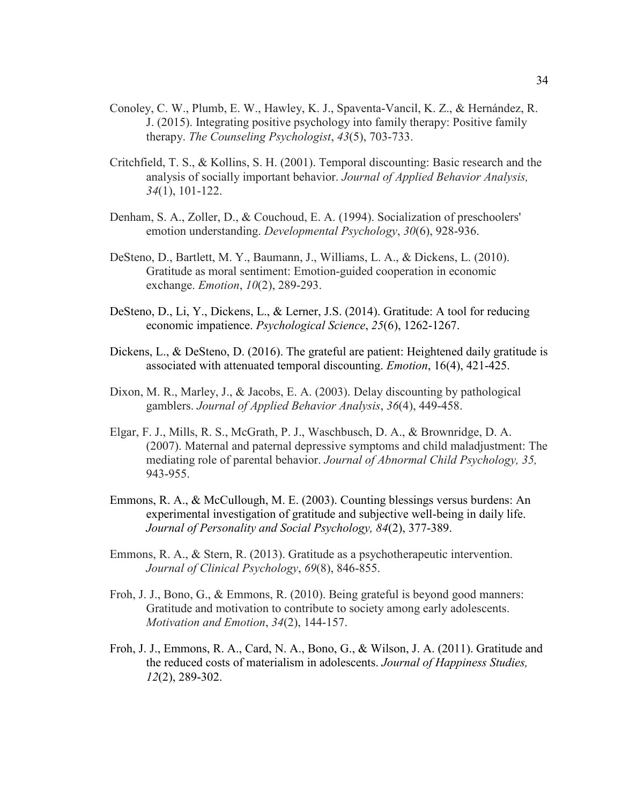- Conoley, C. W., Plumb, E. W., Hawley, K. J., Spaventa-Vancil, K. Z., & Hernández, R. J. (2015). Integrating positive psychology into family therapy: Positive family therapy. *The Counseling Psychologist*, *43*(5), 703-733.
- Critchfield, T. S., & Kollins, S. H. (2001). Temporal discounting: Basic research and the analysis of socially important behavior. *Journal of Applied Behavior Analysis, 34*(1), 101-122.
- Denham, S. A., Zoller, D., & Couchoud, E. A. (1994). Socialization of preschoolers' emotion understanding. *Developmental Psychology*, *30*(6), 928-936.
- DeSteno, D., Bartlett, M. Y., Baumann, J., Williams, L. A., & Dickens, L. (2010). Gratitude as moral sentiment: Emotion-guided cooperation in economic exchange. *Emotion*, *10*(2), 289-293.
- DeSteno, D., Li, Y., Dickens, L., & Lerner, J.S. (2014). Gratitude: A tool for reducing economic impatience. *Psychological Science*, *25*(6), 1262-1267.
- Dickens, L., & DeSteno, D. (2016). The grateful are patient: Heightened daily gratitude is associated with attenuated temporal discounting. *Emotion*, 16(4), 421-425.
- Dixon, M. R., Marley, J., & Jacobs, E. A. (2003). Delay discounting by pathological gamblers. *Journal of Applied Behavior Analysis*, *36*(4), 449-458.
- Elgar, F. J., Mills, R. S., McGrath, P. J., Waschbusch, D. A., & Brownridge, D. A. (2007). Maternal and paternal depressive symptoms and child maladjustment: The mediating role of parental behavior. *Journal of Abnormal Child Psychology, 35,*  943-955.
- Emmons, R. A., & McCullough, M. E. (2003). Counting blessings versus burdens: An experimental investigation of gratitude and subjective well-being in daily life. *Journal of Personality and Social Psychology, 84*(2), 377-389.
- Emmons, R. A., & Stern, R. (2013). Gratitude as a psychotherapeutic intervention. *Journal of Clinical Psychology*, *69*(8), 846-855.
- Froh, J. J., Bono, G., & Emmons, R. (2010). Being grateful is beyond good manners: Gratitude and motivation to contribute to society among early adolescents. *Motivation and Emotion*, *34*(2), 144-157.
- Froh, J. J., Emmons, R. A., Card, N. A., Bono, G., & Wilson, J. A. (2011). Gratitude and the reduced costs of materialism in adolescents. *Journal of Happiness Studies, 12*(2), 289-302.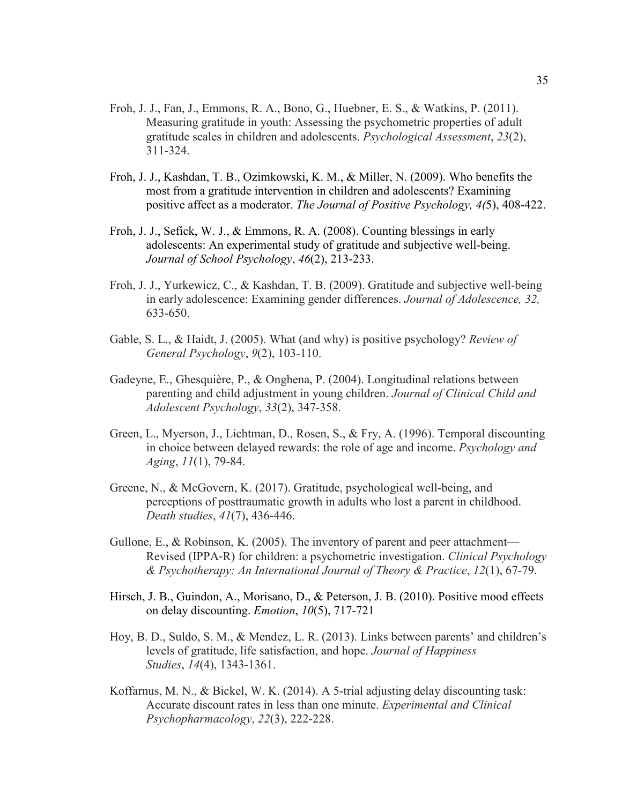- Froh, J. J., Fan, J., Emmons, R. A., Bono, G., Huebner, E. S., & Watkins, P. (2011). Measuring gratitude in youth: Assessing the psychometric properties of adult gratitude scales in children and adolescents. *Psychological Assessment*, *23*(2), 311-324.
- Froh, J. J., Kashdan, T. B., Ozimkowski, K. M., & Miller, N. (2009). Who benefits the most from a gratitude intervention in children and adolescents? Examining positive affect as a moderator. *The Journal of Positive Psychology, 4(*5), 408-422.
- Froh, J. J., Sefick, W. J., & Emmons, R. A. (2008). Counting blessings in early adolescents: An experimental study of gratitude and subjective well-being. *Journal of School Psychology*, *46*(2), 213-233.
- Froh, J. J., Yurkewicz, C., & Kashdan, T. B. (2009). Gratitude and subjective well-being in early adolescence: Examining gender differences. *Journal of Adolescence, 32,*  633-650.
- Gable, S. L., & Haidt, J. (2005). What (and why) is positive psychology? *Review of General Psychology*, *9*(2), 103-110.
- Gadeyne, E., Ghesquière, P., & Onghena, P. (2004). Longitudinal relations between parenting and child adjustment in young children. *Journal of Clinical Child and Adolescent Psychology*, *33*(2), 347-358.
- Green, L., Myerson, J., Lichtman, D., Rosen, S., & Fry, A. (1996). Temporal discounting in choice between delayed rewards: the role of age and income. *Psychology and Aging*, *11*(1), 79-84.
- Greene, N., & McGovern, K. (2017). Gratitude, psychological well-being, and perceptions of posttraumatic growth in adults who lost a parent in childhood. *Death studies*, *41*(7), 436-446.
- Gullone, E., & Robinson, K. (2005). The inventory of parent and peer attachment— Revised (IPPA‐R) for children: a psychometric investigation. *Clinical Psychology & Psychotherapy: An International Journal of Theory & Practice*, *12*(1), 67-79.
- Hirsch, J. B., Guindon, A., Morisano, D., & Peterson, J. B. (2010). Positive mood effects on delay discounting. *Emotion*, *10*(5), 717-721
- Hoy, B. D., Suldo, S. M., & Mendez, L. R. (2013). Links between parents' and children's levels of gratitude, life satisfaction, and hope. *Journal of Happiness Studies*, *14*(4), 1343-1361.
- Koffarnus, M. N., & Bickel, W. K. (2014). A 5-trial adjusting delay discounting task: Accurate discount rates in less than one minute. *Experimental and Clinical Psychopharmacology*, *22*(3), 222-228.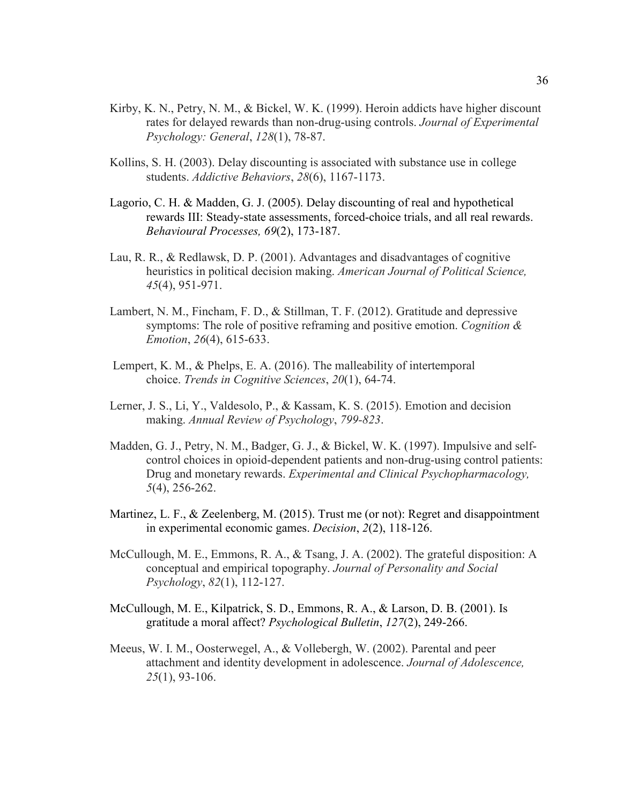- Kirby, K. N., Petry, N. M., & Bickel, W. K. (1999). Heroin addicts have higher discount rates for delayed rewards than non-drug-using controls. *Journal of Experimental Psychology: General*, *128*(1), 78-87.
- Kollins, S. H. (2003). Delay discounting is associated with substance use in college students. *Addictive Behaviors*, *28*(6), 1167-1173.
- Lagorio, C. H. & Madden, G. J. (2005). Delay discounting of real and hypothetical rewards III: Steady-state assessments, forced-choice trials, and all real rewards. *Behavioural Processes, 69*(2), 173-187.
- Lau, R. R., & Redlawsk, D. P. (2001). Advantages and disadvantages of cognitive heuristics in political decision making. *American Journal of Political Science, 45*(4), 951-971.
- Lambert, N. M., Fincham, F. D., & Stillman, T. F. (2012). Gratitude and depressive symptoms: The role of positive reframing and positive emotion. *Cognition & Emotion*, *26*(4), 615-633.
- Lempert, K. M., & Phelps, E. A. (2016). The malleability of intertemporal choice. *Trends in Cognitive Sciences*, *20*(1), 64-74.
- Lerner, J. S., Li, Y., Valdesolo, P., & Kassam, K. S. (2015). Emotion and decision making. *Annual Review of Psychology*, *799-823*.
- Madden, G. J., Petry, N. M., Badger, G. J., & Bickel, W. K. (1997). Impulsive and selfcontrol choices in opioid-dependent patients and non-drug-using control patients: Drug and monetary rewards. *Experimental and Clinical Psychopharmacology, 5*(4), 256-262.
- Martinez, L. F., & Zeelenberg, M. (2015). Trust me (or not): Regret and disappointment in experimental economic games. *Decision*, *2*(2), 118-126.
- McCullough, M. E., Emmons, R. A., & Tsang, J. A. (2002). The grateful disposition: A conceptual and empirical topography. *Journal of Personality and Social Psychology*, *82*(1), 112-127.
- McCullough, M. E., Kilpatrick, S. D., Emmons, R. A., & Larson, D. B. (2001). Is gratitude a moral affect? *Psychological Bulletin*, *127*(2), 249-266.
- Meeus, W. I. M., Oosterwegel, A., & Vollebergh, W. (2002). Parental and peer attachment and identity development in adolescence. *Journal of Adolescence, 25*(1), 93-106.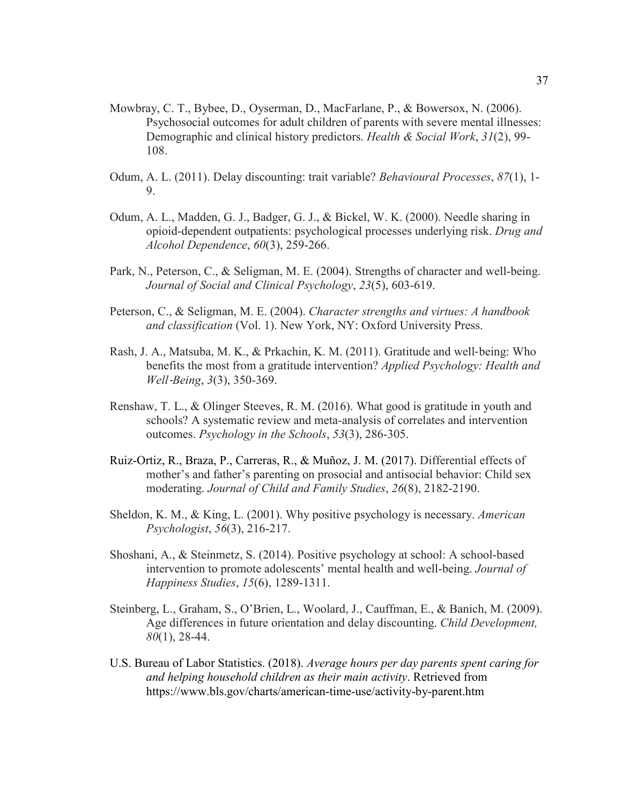- Mowbray, C. T., Bybee, D., Oyserman, D., MacFarlane, P., & Bowersox, N. (2006). Psychosocial outcomes for adult children of parents with severe mental illnesses: Demographic and clinical history predictors. *Health & Social Work*, *31*(2), 99- 108.
- Odum, A. L. (2011). Delay discounting: trait variable? *Behavioural Processes*, *87*(1), 1- 9.
- Odum, A. L., Madden, G. J., Badger, G. J., & Bickel, W. K. (2000). Needle sharing in opioid-dependent outpatients: psychological processes underlying risk. *Drug and Alcohol Dependence*, *60*(3), 259-266.
- Park, N., Peterson, C., & Seligman, M. E. (2004). Strengths of character and well-being. *Journal of Social and Clinical Psychology*, *23*(5), 603-619.
- Peterson, C., & Seligman, M. E. (2004). *Character strengths and virtues: A handbook and classification* (Vol. 1). New York, NY: Oxford University Press.
- Rash, J. A., Matsuba, M. K., & Prkachin, K. M. (2011). Gratitude and well‐being: Who benefits the most from a gratitude intervention? *Applied Psychology: Health and Well*‐*Being*, *3*(3), 350-369.
- Renshaw, T. L., & Olinger Steeves, R. M. (2016). What good is gratitude in youth and schools? A systematic review and meta‐analysis of correlates and intervention outcomes. *Psychology in the Schools*, *53*(3), 286-305.
- Ruiz-Ortiz, R., Braza, P., Carreras, R., & Muñoz, J. M. (2017). Differential effects of mother's and father's parenting on prosocial and antisocial behavior: Child sex moderating. *Journal of Child and Family Studies*, *26*(8), 2182-2190.
- Sheldon, K. M., & King, L. (2001). Why positive psychology is necessary. *American Psychologist*, *56*(3), 216-217.
- Shoshani, A., & Steinmetz, S. (2014). Positive psychology at school: A school-based intervention to promote adolescents' mental health and well-being. *Journal of Happiness Studies*, *15*(6), 1289-1311.
- Steinberg, L., Graham, S., O'Brien, L., Woolard, J., Cauffman, E., & Banich, M. (2009). Age differences in future orientation and delay discounting. *Child Development, 80*(1), 28-44.
- U.S. Bureau of Labor Statistics. (2018). *Average hours per day parents spent caring for and helping household children as their main activity*. Retrieved from https://www.bls.gov/charts/american-time-use/activity-by-parent.htm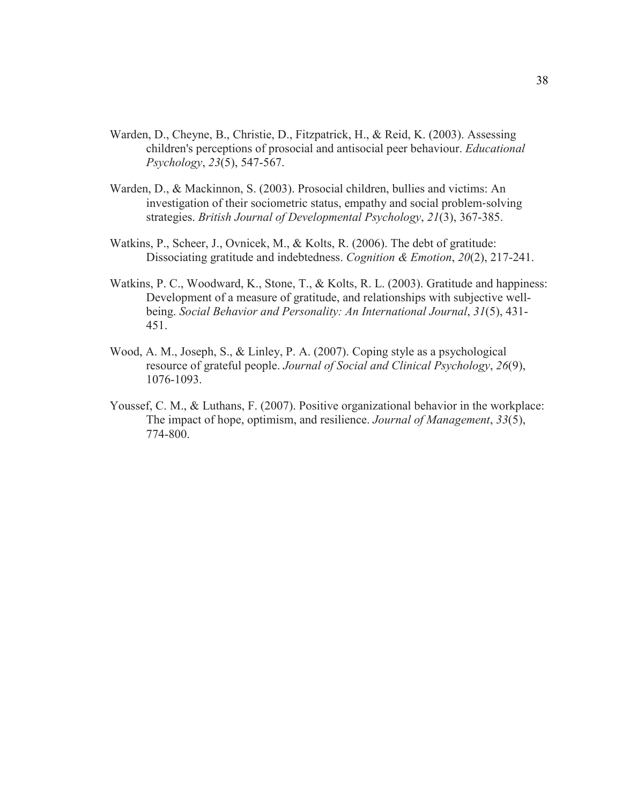- Warden, D., Cheyne, B., Christie, D., Fitzpatrick, H., & Reid, K. (2003). Assessing children's perceptions of prosocial and antisocial peer behaviour. *Educational Psychology*, *23*(5), 547-567.
- Warden, D., & Mackinnon, S. (2003). Prosocial children, bullies and victims: An investigation of their sociometric status, empathy and social problem‐solving strategies. *British Journal of Developmental Psychology*, *21*(3), 367-385.
- Watkins, P., Scheer, J., Ovnicek, M., & Kolts, R. (2006). The debt of gratitude: Dissociating gratitude and indebtedness. *Cognition & Emotion*, *20*(2), 217-241.
- Watkins, P. C., Woodward, K., Stone, T., & Kolts, R. L. (2003). Gratitude and happiness: Development of a measure of gratitude, and relationships with subjective wellbeing. *Social Behavior and Personality: An International Journal*, *31*(5), 431- 451.
- Wood, A. M., Joseph, S., & Linley, P. A. (2007). Coping style as a psychological resource of grateful people. *Journal of Social and Clinical Psychology*, *26*(9), 1076-1093.
- Youssef, C. M., & Luthans, F. (2007). Positive organizational behavior in the workplace: The impact of hope, optimism, and resilience. *Journal of Management*, *33*(5), 774-800.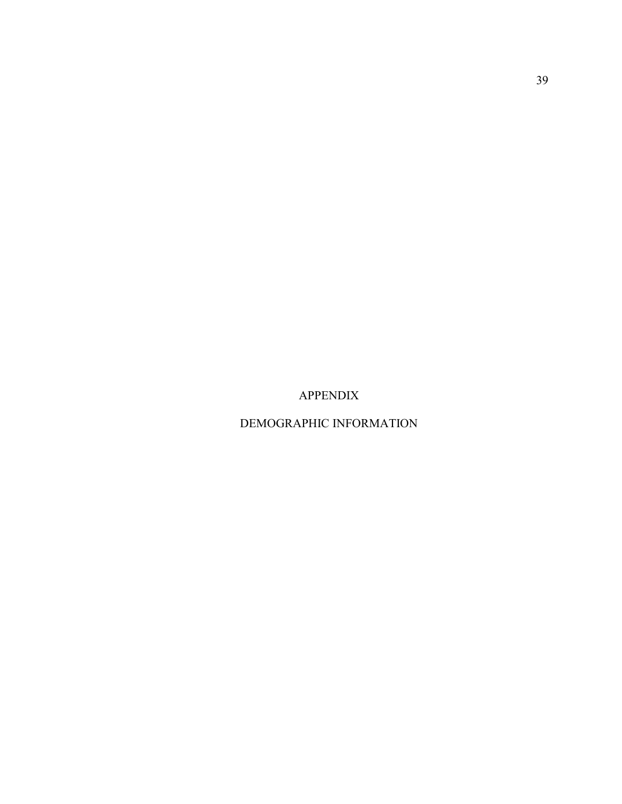APPENDIX

DEMOGRAPHIC INFORMATION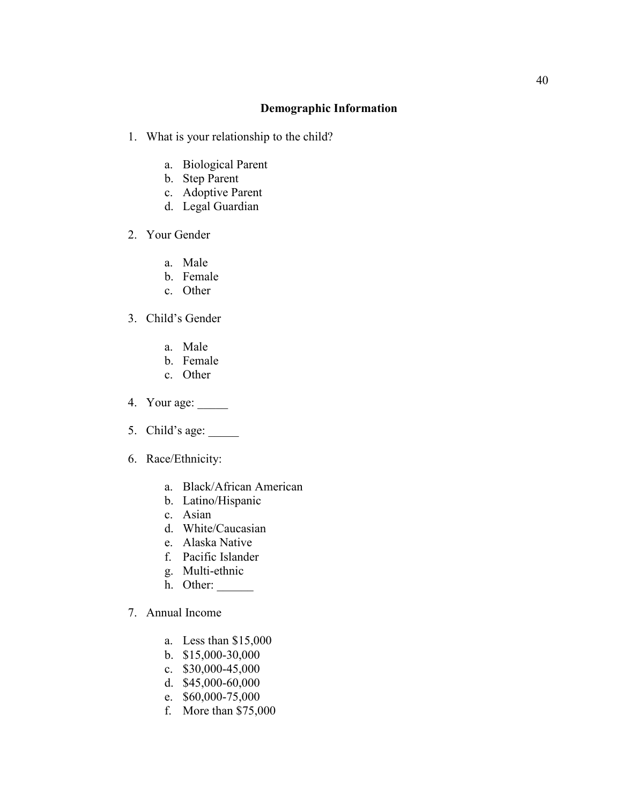## **Demographic Information**

- 1. What is your relationship to the child?
	- a. Biological Parent
	- b. Step Parent
	- c. Adoptive Parent
	- d. Legal Guardian
- 2. Your Gender
	- a. Male
	- b. Female
	- c. Other
- 3. Child's Gender
	- a. Male
	- b. Female
	- c. Other
- 4. Your age: \_\_\_\_\_
- 5. Child's age: \_\_\_\_\_
- 6. Race/Ethnicity:
	- a. Black/African American
	- b. Latino/Hispanic
	- c. Asian
	- d. White/Caucasian
	- e. Alaska Native
	- f. Pacific Islander
	- g. Multi-ethnic
	- h. Other:
- 7. Annual Income
	- a. Less than \$15,000
	- b. \$15,000-30,000
	- c. \$30,000-45,000
	- d. \$45,000-60,000
	- e. \$60,000-75,000
	- f. More than \$75,000